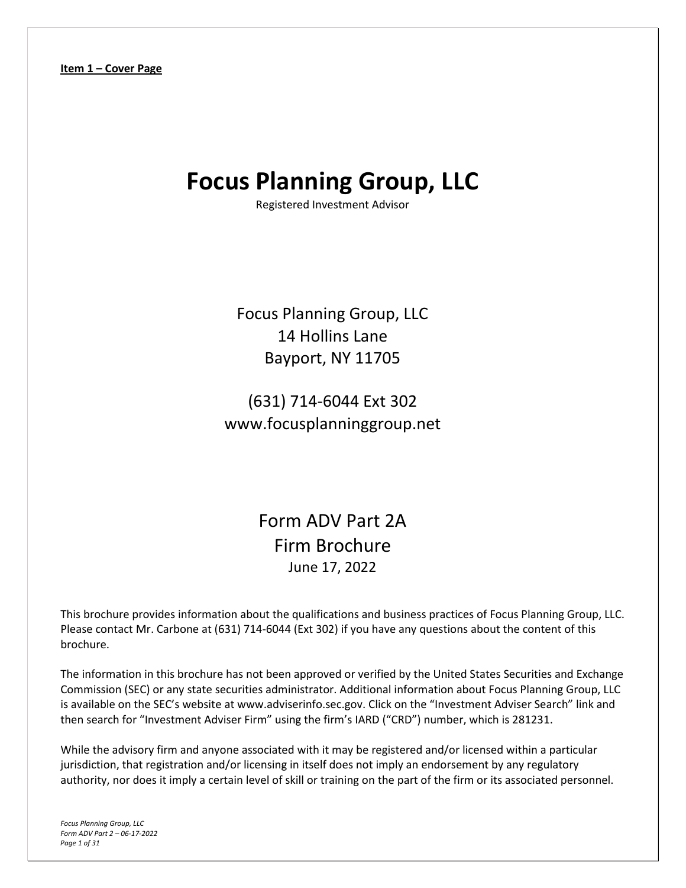# <span id="page-0-0"></span>**Focus Planning Group, LLC**

Registered Investment Advisor

Focus Planning Group, LLC 14 Hollins Lane Bayport, NY 11705

(631) 714-6044 Ext 302 www.focusplanninggroup.net

> Form ADV Part 2A Firm Brochure June 17, 2022

This brochure provides information about the qualifications and business practices of Focus Planning Group, LLC. Please contact Mr. Carbone at (631) 714-6044 (Ext 302) if you have any questions about the content of this brochure.

The information in this brochure has not been approved or verified by the United States Securities and Exchange Commission (SEC) or any state securities administrator. Additional information about Focus Planning Group, LLC is available on the SEC's website at www.adviserinfo.sec.gov. Click on the "Investment Adviser Search" link and then search for "Investment Adviser Firm" using the firm's IARD ("CRD") number, which is 281231.

While the advisory firm and anyone associated with it may be registered and/or licensed within a particular jurisdiction, that registration and/or licensing in itself does not imply an endorsement by any regulatory authority, nor does it imply a certain level of skill or training on the part of the firm or its associated personnel.

*Focus Planning Group, LLC Form ADV Part 2 – 06-17-2022 Page 1 of 31*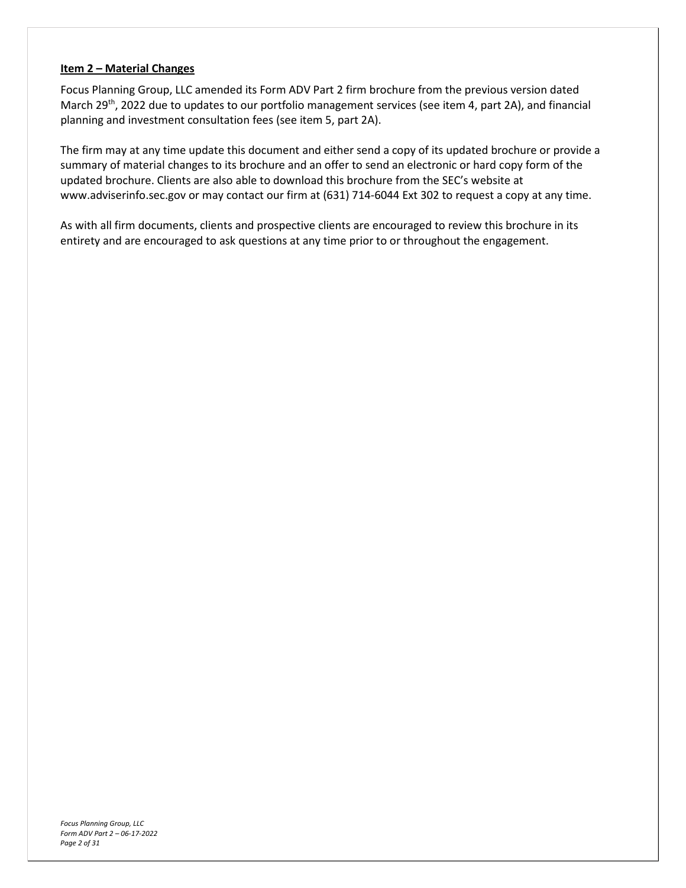#### <span id="page-1-0"></span>**Item 2 – Material Changes**

Focus Planning Group, LLC amended its Form ADV Part 2 firm brochure from the previous version dated March 29<sup>th</sup>, 2022 due to updates to our portfolio management services (see item 4, part 2A), and financial planning and investment consultation fees (see item 5, part 2A).

The firm may at any time update this document and either send a copy of its updated brochure or provide a summary of material changes to its brochure and an offer to send an electronic or hard copy form of the updated brochure. Clients are also able to download this brochure from the SEC's website at www.adviserinfo.sec.gov or may contact our firm at (631) 714-6044 Ext 302 to request a copy at any time.

As with all firm documents, clients and prospective clients are encouraged to review this brochure in its entirety and are encouraged to ask questions at any time prior to or throughout the engagement.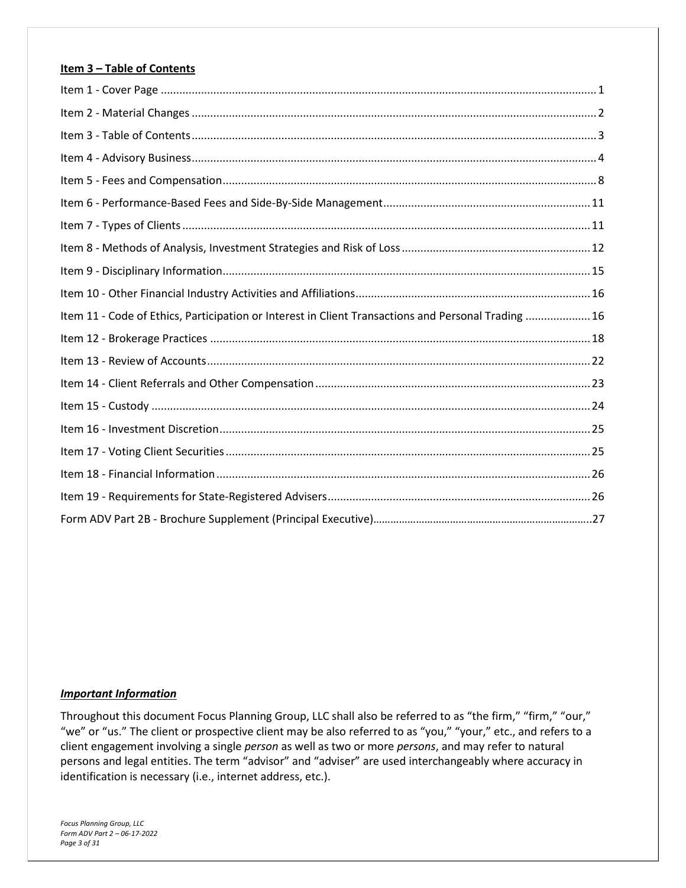### <span id="page-2-0"></span>**Item 3 – Table of Contents**

| Item 11 - Code of Ethics, Participation or Interest in Client Transactions and Personal Trading  16 |  |
|-----------------------------------------------------------------------------------------------------|--|
|                                                                                                     |  |
|                                                                                                     |  |
|                                                                                                     |  |
|                                                                                                     |  |
|                                                                                                     |  |
|                                                                                                     |  |
|                                                                                                     |  |
|                                                                                                     |  |
|                                                                                                     |  |

#### *Important Information*

Throughout this document Focus Planning Group, LLC shall also be referred to as "the firm," "firm," "our," "we" or "us." The client or prospective client may be also referred to as "you," "your," etc., and refers to a client engagement involving a single *person* as well as two or more *persons*, and may refer to natural persons and legal entities. The term "advisor" and "adviser" are used interchangeably where accuracy in identification is necessary (i.e., internet address, etc.).

*Focus Planning Group, LLC Form ADV Part 2 – 06-17-2022 Page 3 of 31*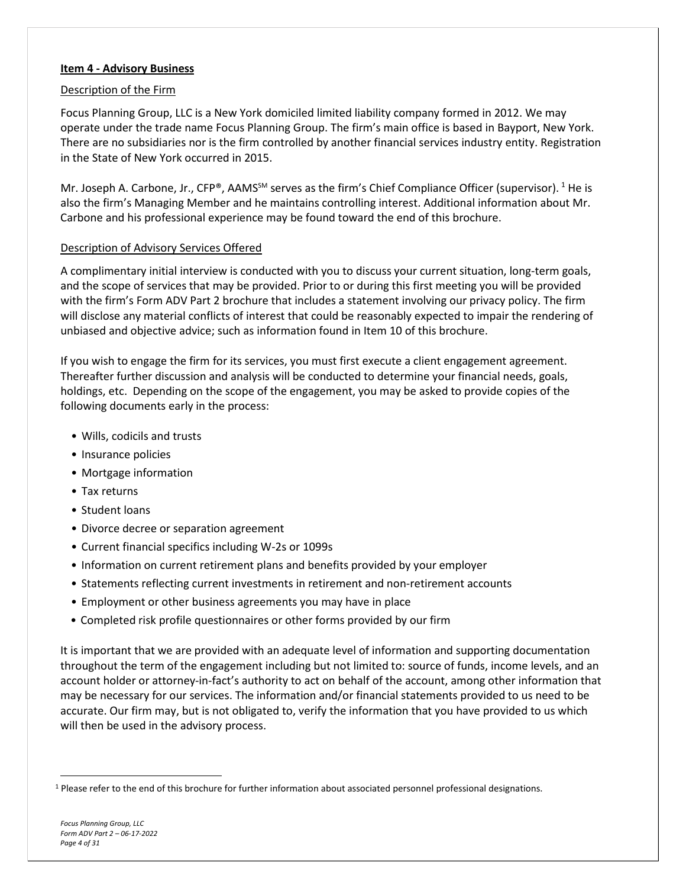#### <span id="page-3-0"></span>**Item 4 - Advisory Business**

#### Description of the Firm

Focus Planning Group, LLC is a New York domiciled limited liability company formed in 2012. We may operate under the trade name Focus Planning Group. The firm's main office is based in Bayport, New York. There are no subsidiaries nor is the firm controlled by another financial services industry entity. Registration in the State of New York occurred in 2015.

Mr. Joseph A. Carbone, Jr., CFP®, AAMS<sup>SM</sup> serves as the firm's Chief Compliance Officer (supervisor). <sup>[1](#page-3-1)</sup> He is also the firm's Managing Member and he maintains controlling interest. Additional information about Mr. Carbone and his professional experience may be found toward the end of this brochure.

#### Description of Advisory Services Offered

A complimentary initial interview is conducted with you to discuss your current situation, long-term goals, and the scope of services that may be provided. Prior to or during this first meeting you will be provided with the firm's Form ADV Part 2 brochure that includes a statement involving our privacy policy. The firm will disclose any material conflicts of interest that could be reasonably expected to impair the rendering of unbiased and objective advice; such as information found in Item 10 of this brochure.

If you wish to engage the firm for its services, you must first execute a client engagement agreement. Thereafter further discussion and analysis will be conducted to determine your financial needs, goals, holdings, etc. Depending on the scope of the engagement, you may be asked to provide copies of the following documents early in the process:

- Wills, codicils and trusts
- Insurance policies
- Mortgage information
- Tax returns
- Student loans
- Divorce decree or separation agreement
- Current financial specifics including W-2s or 1099s
- Information on current retirement plans and benefits provided by your employer
- Statements reflecting current investments in retirement and non-retirement accounts
- Employment or other business agreements you may have in place
- Completed risk profile questionnaires or other forms provided by our firm

It is important that we are provided with an adequate level of information and supporting documentation throughout the term of the engagement including but not limited to: source of funds, income levels, and an account holder or attorney-in-fact's authority to act on behalf of the account, among other information that may be necessary for our services. The information and/or financial statements provided to us need to be accurate. Our firm may, but is not obligated to, verify the information that you have provided to us which will then be used in the advisory process.

<span id="page-3-1"></span><sup>&</sup>lt;sup>1</sup> Please refer to the end of this brochure for further information about associated personnel professional designations.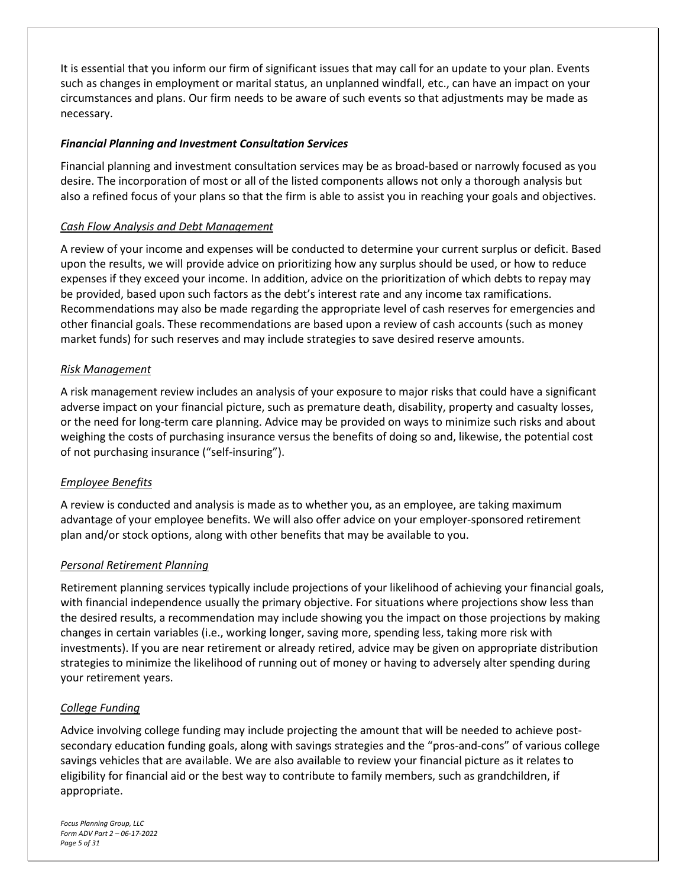It is essential that you inform our firm of significant issues that may call for an update to your plan. Events such as changes in employment or marital status, an unplanned windfall, etc., can have an impact on your circumstances and plans. Our firm needs to be aware of such events so that adjustments may be made as necessary.

#### *Financial Planning and Investment Consultation Services*

Financial planning and investment consultation services may be as broad-based or narrowly focused as you desire. The incorporation of most or all of the listed components allows not only a thorough analysis but also a refined focus of your plans so that the firm is able to assist you in reaching your goals and objectives.

## *Cash Flow Analysis and Debt Management*

A review of your income and expenses will be conducted to determine your current surplus or deficit. Based upon the results, we will provide advice on prioritizing how any surplus should be used, or how to reduce expenses if they exceed your income. In addition, advice on the prioritization of which debts to repay may be provided, based upon such factors as the debt's interest rate and any income tax ramifications. Recommendations may also be made regarding the appropriate level of cash reserves for emergencies and other financial goals. These recommendations are based upon a review of cash accounts (such as money market funds) for such reserves and may include strategies to save desired reserve amounts.

## *Risk Management*

A risk management review includes an analysis of your exposure to major risks that could have a significant adverse impact on your financial picture, such as premature death, disability, property and casualty losses, or the need for long-term care planning. Advice may be provided on ways to minimize such risks and about weighing the costs of purchasing insurance versus the benefits of doing so and, likewise, the potential cost of not purchasing insurance ("self-insuring").

## *Employee Benefits*

A review is conducted and analysis is made as to whether you, as an employee, are taking maximum advantage of your employee benefits. We will also offer advice on your employer-sponsored retirement plan and/or stock options, along with other benefits that may be available to you.

#### *Personal Retirement Planning*

Retirement planning services typically include projections of your likelihood of achieving your financial goals, with financial independence usually the primary objective. For situations where projections show less than the desired results, a recommendation may include showing you the impact on those projections by making changes in certain variables (i.e., working longer, saving more, spending less, taking more risk with investments). If you are near retirement or already retired, advice may be given on appropriate distribution strategies to minimize the likelihood of running out of money or having to adversely alter spending during your retirement years.

#### *College Funding*

Advice involving college funding may include projecting the amount that will be needed to achieve postsecondary education funding goals, along with savings strategies and the "pros-and-cons" of various college savings vehicles that are available. We are also available to review your financial picture as it relates to eligibility for financial aid or the best way to contribute to family members, such as grandchildren, if appropriate.

*Focus Planning Group, LLC Form ADV Part 2 – 06-17-2022 Page 5 of 31*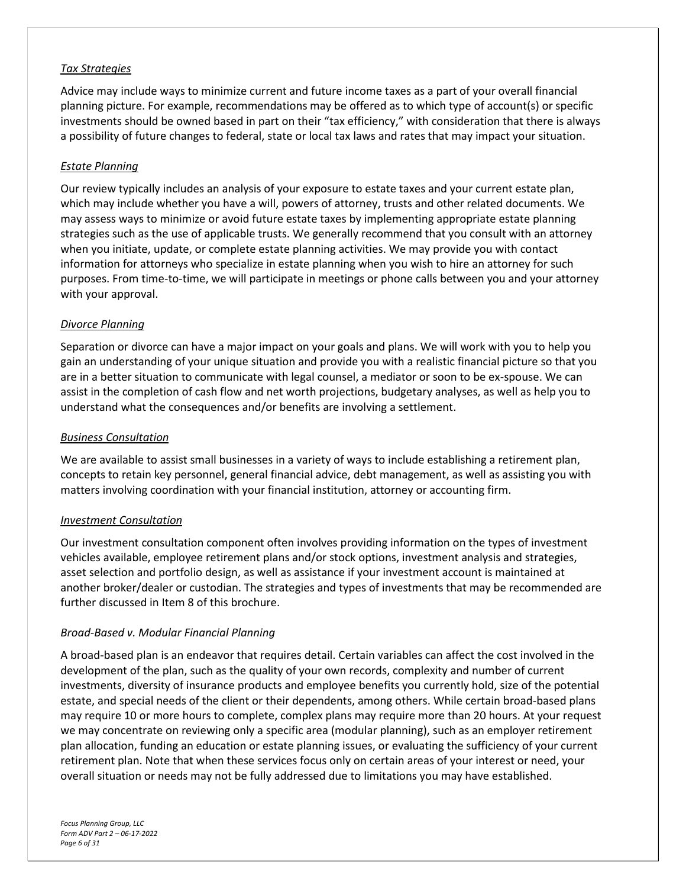#### *Tax Strategies*

Advice may include ways to minimize current and future income taxes as a part of your overall financial planning picture. For example, recommendations may be offered as to which type of account(s) or specific investments should be owned based in part on their "tax efficiency," with consideration that there is always a possibility of future changes to federal, state or local tax laws and rates that may impact your situation.

#### *Estate Planning*

Our review typically includes an analysis of your exposure to estate taxes and your current estate plan, which may include whether you have a will, powers of attorney, trusts and other related documents. We may assess ways to minimize or avoid future estate taxes by implementing appropriate estate planning strategies such as the use of applicable trusts. We generally recommend that you consult with an attorney when you initiate, update, or complete estate planning activities. We may provide you with contact information for attorneys who specialize in estate planning when you wish to hire an attorney for such purposes. From time-to-time, we will participate in meetings or phone calls between you and your attorney with your approval.

## *Divorce Planning*

Separation or divorce can have a major impact on your goals and plans. We will work with you to help you gain an understanding of your unique situation and provide you with a realistic financial picture so that you are in a better situation to communicate with legal counsel, a mediator or soon to be ex-spouse. We can assist in the completion of cash flow and net worth projections, budgetary analyses, as well as help you to understand what the consequences and/or benefits are involving a settlement.

#### *Business Consultation*

We are available to assist small businesses in a variety of ways to include establishing a retirement plan, concepts to retain key personnel, general financial advice, debt management, as well as assisting you with matters involving coordination with your financial institution, attorney or accounting firm.

#### *Investment Consultation*

Our investment consultation component often involves providing information on the types of investment vehicles available, employee retirement plans and/or stock options, investment analysis and strategies, asset selection and portfolio design, as well as assistance if your investment account is maintained at another broker/dealer or custodian. The strategies and types of investments that may be recommended are further discussed in Item 8 of this brochure.

#### *Broad-Based v. Modular Financial Planning*

A broad-based plan is an endeavor that requires detail. Certain variables can affect the cost involved in the development of the plan, such as the quality of your own records, complexity and number of current investments, diversity of insurance products and employee benefits you currently hold, size of the potential estate, and special needs of the client or their dependents, among others. While certain broad-based plans may require 10 or more hours to complete, complex plans may require more than 20 hours. At your request we may concentrate on reviewing only a specific area (modular planning), such as an employer retirement plan allocation, funding an education or estate planning issues, or evaluating the sufficiency of your current retirement plan. Note that when these services focus only on certain areas of your interest or need, your overall situation or needs may not be fully addressed due to limitations you may have established.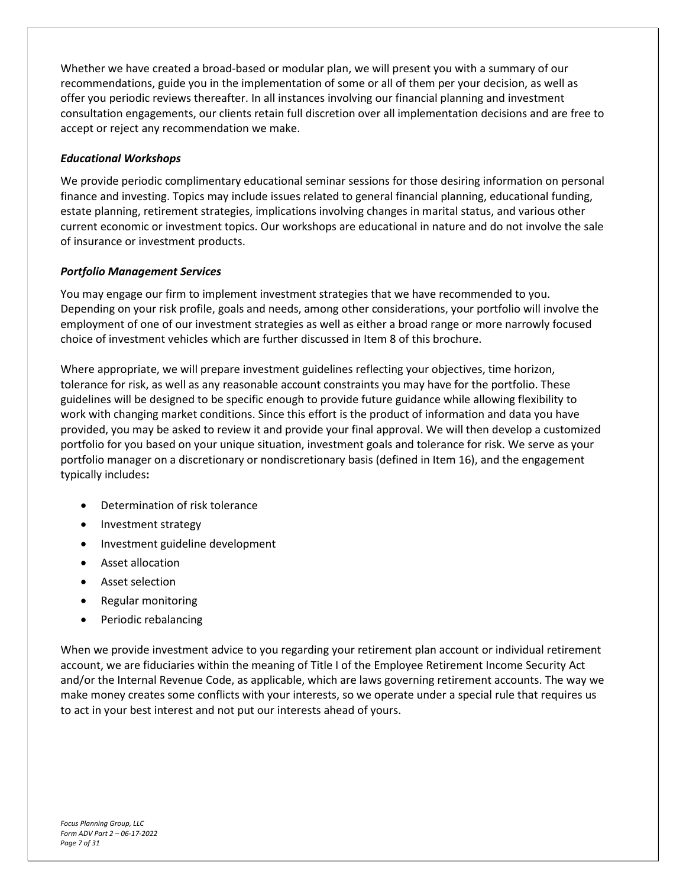Whether we have created a broad-based or modular plan, we will present you with a summary of our recommendations, guide you in the implementation of some or all of them per your decision, as well as offer you periodic reviews thereafter. In all instances involving our financial planning and investment consultation engagements, our clients retain full discretion over all implementation decisions and are free to accept or reject any recommendation we make.

#### *Educational Workshops*

We provide periodic complimentary educational seminar sessions for those desiring information on personal finance and investing. Topics may include issues related to general financial planning, educational funding, estate planning, retirement strategies, implications involving changes in marital status, and various other current economic or investment topics. Our workshops are educational in nature and do not involve the sale of insurance or investment products.

## *Portfolio Management Services*

You may engage our firm to implement investment strategies that we have recommended to you. Depending on your risk profile, goals and needs, among other considerations, your portfolio will involve the employment of one of our investment strategies as well as either a broad range or more narrowly focused choice of investment vehicles which are further discussed in Item 8 of this brochure.

Where appropriate, we will prepare investment guidelines reflecting your objectives, time horizon, tolerance for risk, as well as any reasonable account constraints you may have for the portfolio. These guidelines will be designed to be specific enough to provide future guidance while allowing flexibility to work with changing market conditions. Since this effort is the product of information and data you have provided, you may be asked to review it and provide your final approval. We will then develop a customized portfolio for you based on your unique situation, investment goals and tolerance for risk. We serve as your portfolio manager on a discretionary or nondiscretionary basis (defined in Item 16), and the engagement typically includes**:** 

- Determination of risk tolerance
- Investment strategy
- Investment guideline development
- Asset allocation
- Asset selection
- Regular monitoring
- Periodic rebalancing

When we provide investment advice to you regarding your retirement plan account or individual retirement account, we are fiduciaries within the meaning of Title I of the Employee Retirement Income Security Act and/or the Internal Revenue Code, as applicable, which are laws governing retirement accounts. The way we make money creates some conflicts with your interests, so we operate under a special rule that requires us to act in your best interest and not put our interests ahead of yours.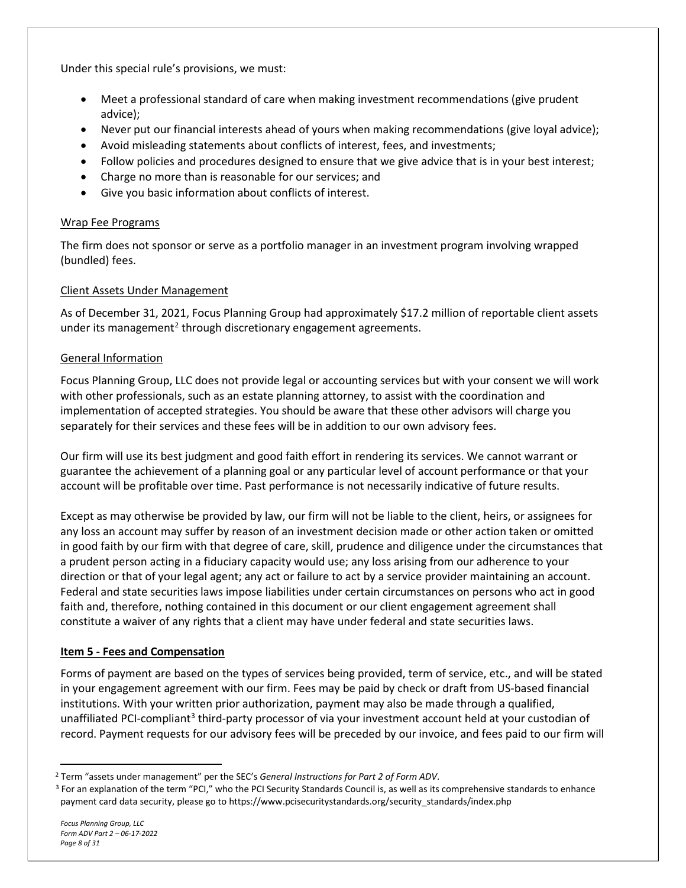Under this special rule's provisions, we must:

- Meet a professional standard of care when making investment recommendations (give prudent advice);
- Never put our financial interests ahead of yours when making recommendations (give loyal advice);
- Avoid misleading statements about conflicts of interest, fees, and investments;
- Follow policies and procedures designed to ensure that we give advice that is in your best interest;
- Charge no more than is reasonable for our services; and
- Give you basic information about conflicts of interest.

## Wrap Fee Programs

The firm does not sponsor or serve as a portfolio manager in an investment program involving wrapped (bundled) fees.

## Client Assets Under Management

As of December 31, 2021, Focus Planning Group had approximately \$17.2 million of reportable client assets under its management<sup>[2](#page-7-1)</sup> through discretionary engagement agreements.

## General Information

Focus Planning Group, LLC does not provide legal or accounting services but with your consent we will work with other professionals, such as an estate planning attorney, to assist with the coordination and implementation of accepted strategies. You should be aware that these other advisors will charge you separately for their services and these fees will be in addition to our own advisory fees.

Our firm will use its best judgment and good faith effort in rendering its services. We cannot warrant or guarantee the achievement of a planning goal or any particular level of account performance or that your account will be profitable over time. Past performance is not necessarily indicative of future results.

Except as may otherwise be provided by law, our firm will not be liable to the client, heirs, or assignees for any loss an account may suffer by reason of an investment decision made or other action taken or omitted in good faith by our firm with that degree of care, skill, prudence and diligence under the circumstances that a prudent person acting in a fiduciary capacity would use; any loss arising from our adherence to your direction or that of your legal agent; any act or failure to act by a service provider maintaining an account. Federal and state securities laws impose liabilities under certain circumstances on persons who act in good faith and, therefore, nothing contained in this document or our client engagement agreement shall constitute a waiver of any rights that a client may have under federal and state securities laws.

## <span id="page-7-0"></span>**Item 5 - Fees and Compensation**

Forms of payment are based on the types of services being provided, term of service, etc., and will be stated in your engagement agreement with our firm. Fees may be paid by check or draft from US-based financial institutions. With your written prior authorization, payment may also be made through a qualified, unaffiliated PCI-compliant<sup>[3](#page-7-2)</sup> third-party processor of via your investment account held at your custodian of record. Payment requests for our advisory fees will be preceded by our invoice, and fees paid to our firm will

<span id="page-7-1"></span><sup>2</sup> Term "assets under management" per the SEC's *General Instructions for Part 2 of Form ADV*.

<span id="page-7-2"></span><sup>&</sup>lt;sup>3</sup> For an explanation of the term "PCI," who the PCI Security Standards Council is, as well as its comprehensive standards to enhance payment card data security, please go to https://www.pcisecuritystandards.org/security\_standards/index.php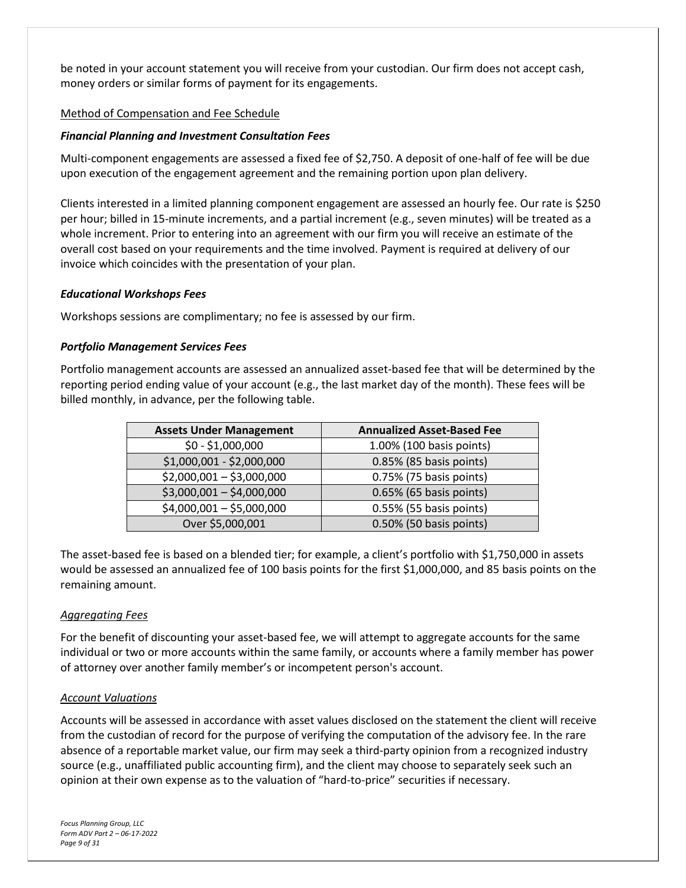be noted in your account statement you will receive from your custodian. Our firm does not accept cash, money orders or similar forms of payment for its engagements.

#### Method of Compensation and Fee Schedule

#### *Financial Planning and Investment Consultation Fees*

Multi-component engagements are assessed a fixed fee of \$2,750. A deposit of one-half of fee will be due upon execution of the engagement agreement and the remaining portion upon plan delivery.

Clients interested in a limited planning component engagement are assessed an hourly fee. Our rate is \$250 per hour; billed in 15-minute increments, and a partial increment (e.g., seven minutes) will be treated as a whole increment. Prior to entering into an agreement with our firm you will receive an estimate of the overall cost based on your requirements and the time involved. Payment is required at delivery of our invoice which coincides with the presentation of your plan.

#### *Educational Workshops Fees*

Workshops sessions are complimentary; no fee is assessed by our firm.

#### *Portfolio Management Services Fees*

Portfolio management accounts are assessed an annualized asset-based fee that will be determined by the reporting period ending value of your account (e.g., the last market day of the month). These fees will be billed monthly, in advance, per the following table.

| <b>Assets Under Management</b> | <b>Annualized Asset-Based Fee</b> |
|--------------------------------|-----------------------------------|
| $$0 - $1,000,000$              | 1.00% (100 basis points)          |
| \$1,000,001 - \$2,000,000      | 0.85% (85 basis points)           |
| $$2,000,001 - $3,000,000$      | 0.75% (75 basis points)           |
| $$3,000,001 - $4,000,000$      | 0.65% (65 basis points)           |
| $$4,000,001 - $5,000,000$      | 0.55% (55 basis points)           |
| Over \$5,000,001               | 0.50% (50 basis points)           |

The asset-based fee is based on a blended tier; for example, a client's portfolio with \$1,750,000 in assets would be assessed an annualized fee of 100 basis points for the first \$1,000,000, and 85 basis points on the remaining amount.

#### *Aggregating Fees*

For the benefit of discounting your asset-based fee, we will attempt to aggregate accounts for the same individual or two or more accounts within the same family, or accounts where a family member has power of attorney over another family member's or incompetent person's account.

#### *Account Valuations*

Accounts will be assessed in accordance with asset values disclosed on the statement the client will receive from the custodian of record for the purpose of verifying the computation of the advisory fee. In the rare absence of a reportable market value, our firm may seek a third-party opinion from a recognized industry source (e.g., unaffiliated public accounting firm), and the client may choose to separately seek such an opinion at their own expense as to the valuation of "hard-to-price" securities if necessary.

*Focus Planning Group, LLC Form ADV Part 2 – 06-17-2022 Page 9 of 31*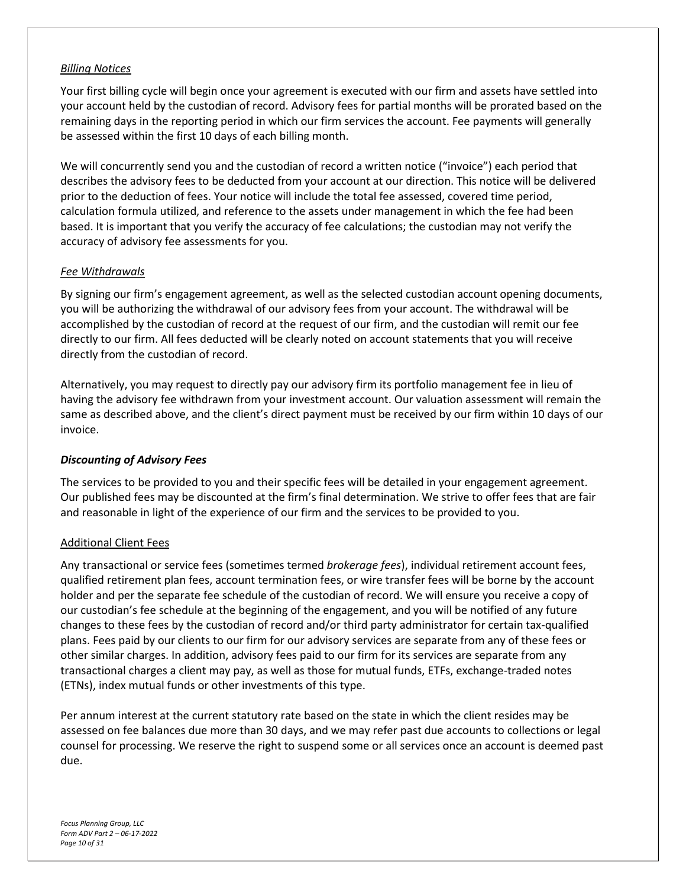#### *Billing Notices*

Your first billing cycle will begin once your agreement is executed with our firm and assets have settled into your account held by the custodian of record. Advisory fees for partial months will be prorated based on the remaining days in the reporting period in which our firm services the account. Fee payments will generally be assessed within the first 10 days of each billing month.

We will concurrently send you and the custodian of record a written notice ("invoice") each period that describes the advisory fees to be deducted from your account at our direction. This notice will be delivered prior to the deduction of fees. Your notice will include the total fee assessed, covered time period, calculation formula utilized, and reference to the assets under management in which the fee had been based. It is important that you verify the accuracy of fee calculations; the custodian may not verify the accuracy of advisory fee assessments for you.

#### *Fee Withdrawals*

By signing our firm's engagement agreement, as well as the selected custodian account opening documents, you will be authorizing the withdrawal of our advisory fees from your account. The withdrawal will be accomplished by the custodian of record at the request of our firm, and the custodian will remit our fee directly to our firm. All fees deducted will be clearly noted on account statements that you will receive directly from the custodian of record.

Alternatively, you may request to directly pay our advisory firm its portfolio management fee in lieu of having the advisory fee withdrawn from your investment account. Our valuation assessment will remain the same as described above, and the client's direct payment must be received by our firm within 10 days of our invoice.

#### *Discounting of Advisory Fees*

The services to be provided to you and their specific fees will be detailed in your engagement agreement. Our published fees may be discounted at the firm's final determination. We strive to offer fees that are fair and reasonable in light of the experience of our firm and the services to be provided to you.

#### Additional Client Fees

Any transactional or service fees (sometimes termed *brokerage fees*), individual retirement account fees, qualified retirement plan fees, account termination fees, or wire transfer fees will be borne by the account holder and per the separate fee schedule of the custodian of record. We will ensure you receive a copy of our custodian's fee schedule at the beginning of the engagement, and you will be notified of any future changes to these fees by the custodian of record and/or third party administrator for certain tax-qualified plans. Fees paid by our clients to our firm for our advisory services are separate from any of these fees or other similar charges. In addition, advisory fees paid to our firm for its services are separate from any transactional charges a client may pay, as well as those for mutual funds, ETFs, exchange-traded notes (ETNs), index mutual funds or other investments of this type.

Per annum interest at the current statutory rate based on the state in which the client resides may be assessed on fee balances due more than 30 days, and we may refer past due accounts to collections or legal counsel for processing. We reserve the right to suspend some or all services once an account is deemed past due.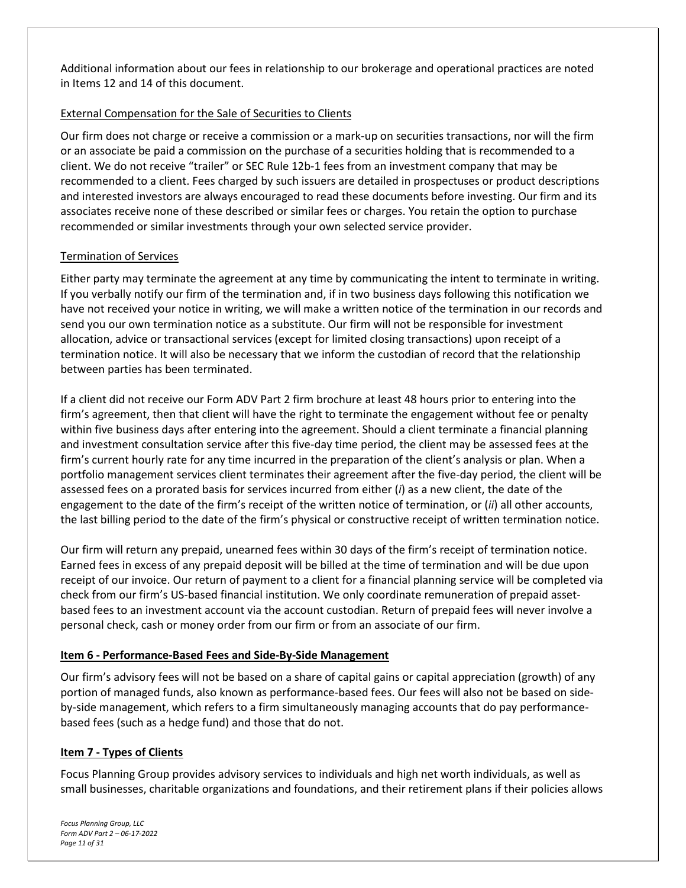Additional information about our fees in relationship to our brokerage and operational practices are noted in Items 12 and 14 of this document.

### External Compensation for the Sale of Securities to Clients

Our firm does not charge or receive a commission or a mark-up on securities transactions, nor will the firm or an associate be paid a commission on the purchase of a securities holding that is recommended to a client. We do not receive "trailer" or SEC Rule 12b-1 fees from an investment company that may be recommended to a client. Fees charged by such issuers are detailed in prospectuses or product descriptions and interested investors are always encouraged to read these documents before investing. Our firm and its associates receive none of these described or similar fees or charges. You retain the option to purchase recommended or similar investments through your own selected service provider.

#### Termination of Services

Either party may terminate the agreement at any time by communicating the intent to terminate in writing. If you verbally notify our firm of the termination and, if in two business days following this notification we have not received your notice in writing, we will make a written notice of the termination in our records and send you our own termination notice as a substitute. Our firm will not be responsible for investment allocation, advice or transactional services (except for limited closing transactions) upon receipt of a termination notice. It will also be necessary that we inform the custodian of record that the relationship between parties has been terminated.

If a client did not receive our Form ADV Part 2 firm brochure at least 48 hours prior to entering into the firm's agreement, then that client will have the right to terminate the engagement without fee or penalty within five business days after entering into the agreement. Should a client terminate a financial planning and investment consultation service after this five-day time period, the client may be assessed fees at the firm's current hourly rate for any time incurred in the preparation of the client's analysis or plan. When a portfolio management services client terminates their agreement after the five-day period, the client will be assessed fees on a prorated basis for services incurred from either (*i*) as a new client, the date of the engagement to the date of the firm's receipt of the written notice of termination, or (*ii*) all other accounts, the last billing period to the date of the firm's physical or constructive receipt of written termination notice.

Our firm will return any prepaid, unearned fees within 30 days of the firm's receipt of termination notice. Earned fees in excess of any prepaid deposit will be billed at the time of termination and will be due upon receipt of our invoice. Our return of payment to a client for a financial planning service will be completed via check from our firm's US-based financial institution. We only coordinate remuneration of prepaid assetbased fees to an investment account via the account custodian. Return of prepaid fees will never involve a personal check, cash or money order from our firm or from an associate of our firm.

#### <span id="page-10-0"></span>**Item 6 - Performance-Based Fees and Side-By-Side Management**

Our firm's advisory fees will not be based on a share of capital gains or capital appreciation (growth) of any portion of managed funds, also known as performance-based fees. Our fees will also not be based on sideby-side management, which refers to a firm simultaneously managing accounts that do pay performancebased fees (such as a hedge fund) and those that do not.

#### <span id="page-10-1"></span>**Item 7 - Types of Clients**

Focus Planning Group provides advisory services to individuals and high net worth individuals, as well as small businesses, charitable organizations and foundations, and their retirement plans if their policies allows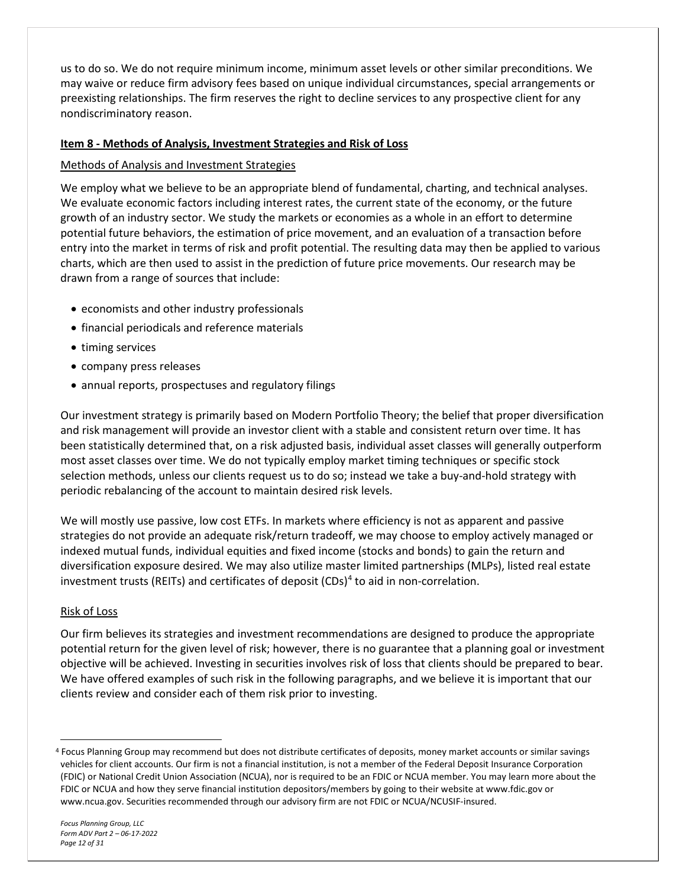us to do so. We do not require minimum income, minimum asset levels or other similar preconditions. We may waive or reduce firm advisory fees based on unique individual circumstances, special arrangements or preexisting relationships. The firm reserves the right to decline services to any prospective client for any nondiscriminatory reason.

#### <span id="page-11-0"></span>**Item 8 - Methods of Analysis, Investment Strategies and Risk of Loss**

#### Methods of Analysis and Investment Strategies

We employ what we believe to be an appropriate blend of fundamental, charting, and technical analyses. We evaluate economic factors including interest rates, the current state of the economy, or the future growth of an industry sector. We study the markets or economies as a whole in an effort to determine potential future behaviors, the estimation of price movement, and an evaluation of a transaction before entry into the market in terms of risk and profit potential. The resulting data may then be applied to various charts, which are then used to assist in the prediction of future price movements. Our research may be drawn from a range of sources that include:

- economists and other industry professionals
- financial periodicals and reference materials
- timing services
- company press releases
- annual reports, prospectuses and regulatory filings

Our investment strategy is primarily based on Modern Portfolio Theory; the belief that proper diversification and risk management will provide an investor client with a stable and consistent return over time. It has been statistically determined that, on a risk adjusted basis, individual asset classes will generally outperform most asset classes over time. We do not typically employ market timing techniques or specific stock selection methods, unless our clients request us to do so; instead we take a buy-and-hold strategy with periodic rebalancing of the account to maintain desired risk levels.

We will mostly use passive, low cost ETFs. In markets where efficiency is not as apparent and passive strategies do not provide an adequate risk/return tradeoff, we may choose to employ actively managed or indexed mutual funds, individual equities and fixed income (stocks and bonds) to gain the return and diversification exposure desired. We may also utilize master limited partnerships (MLPs), listed real estate investment trusts (REITs) and certificates of deposit (CDs)<sup>[4](#page-11-1)</sup> to aid in non-correlation.

#### Risk of Loss

Our firm believes its strategies and investment recommendations are designed to produce the appropriate potential return for the given level of risk; however, there is no guarantee that a planning goal or investment objective will be achieved. Investing in securities involves risk of loss that clients should be prepared to bear. We have offered examples of such risk in the following paragraphs, and we believe it is important that our clients review and consider each of them risk prior to investing.

<span id="page-11-1"></span><sup>4</sup> Focus Planning Group may recommend but does not distribute certificates of deposits, money market accounts or similar savings vehicles for client accounts. Our firm is not a financial institution, is not a member of the Federal Deposit Insurance Corporation (FDIC) or National Credit Union Association (NCUA), nor is required to be an FDIC or NCUA member. You may learn more about the FDIC or NCUA and how they serve financial institution depositors/members by going to their website at www.fdic.gov or www.ncua.gov. Securities recommended through our advisory firm are not FDIC or NCUA/NCUSIF-insured.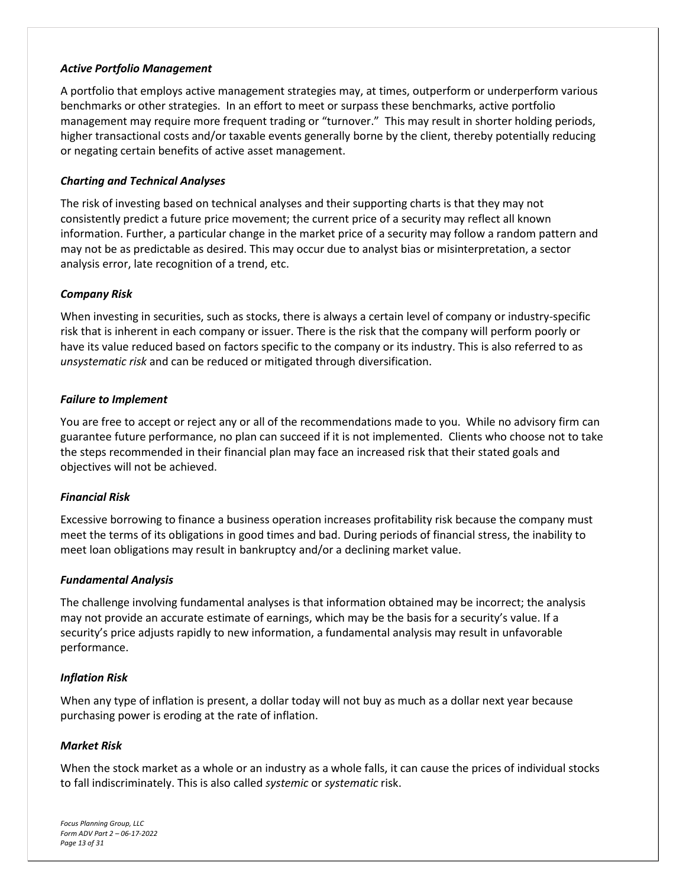#### *Active Portfolio Management*

A portfolio that employs active management strategies may, at times, outperform or underperform various benchmarks or other strategies. In an effort to meet or surpass these benchmarks, active portfolio management may require more frequent trading or "turnover." This may result in shorter holding periods, higher transactional costs and/or taxable events generally borne by the client, thereby potentially reducing or negating certain benefits of active asset management.

#### *Charting and Technical Analyses*

The risk of investing based on technical analyses and their supporting charts is that they may not consistently predict a future price movement; the current price of a security may reflect all known information. Further, a particular change in the market price of a security may follow a random pattern and may not be as predictable as desired. This may occur due to analyst bias or misinterpretation, a sector analysis error, late recognition of a trend, etc.

#### *Company Risk*

When investing in securities, such as stocks, there is always a certain level of company or industry-specific risk that is inherent in each company or issuer. There is the risk that the company will perform poorly or have its value reduced based on factors specific to the company or its industry. This is also referred to as *unsystematic risk* and can be reduced or mitigated through diversification.

#### *Failure to Implement*

You are free to accept or reject any or all of the recommendations made to you. While no advisory firm can guarantee future performance, no plan can succeed if it is not implemented. Clients who choose not to take the steps recommended in their financial plan may face an increased risk that their stated goals and objectives will not be achieved.

#### *Financial Risk*

Excessive borrowing to finance a business operation increases profitability risk because the company must meet the terms of its obligations in good times and bad. During periods of financial stress, the inability to meet loan obligations may result in bankruptcy and/or a declining market value.

#### *Fundamental Analysis*

The challenge involving fundamental analyses is that information obtained may be incorrect; the analysis may not provide an accurate estimate of earnings, which may be the basis for a security's value. If a security's price adjusts rapidly to new information, a fundamental analysis may result in unfavorable performance.

#### *Inflation Risk*

When any type of inflation is present, a dollar today will not buy as much as a dollar next year because purchasing power is eroding at the rate of inflation.

#### *Market Risk*

When the stock market as a whole or an industry as a whole falls, it can cause the prices of individual stocks to fall indiscriminately. This is also called *systemic* or *systematic* risk.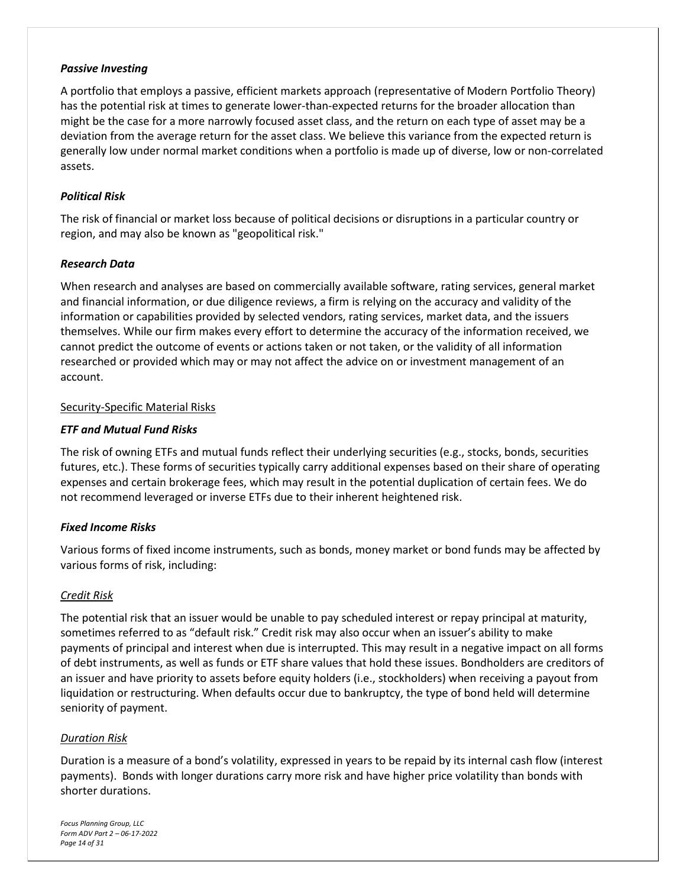#### *Passive Investing*

A portfolio that employs a passive, efficient markets approach (representative of Modern Portfolio Theory) has the potential risk at times to generate lower-than-expected returns for the broader allocation than might be the case for a more narrowly focused asset class, and the return on each type of asset may be a deviation from the average return for the asset class. We believe this variance from the expected return is generally low under normal market conditions when a portfolio is made up of diverse, low or non-correlated assets.

#### *Political Risk*

The risk of financial or market loss because of political decisions or disruptions in a particular country or region, and may also be known as "geopolitical risk."

#### *Research Data*

When research and analyses are based on commercially available software, rating services, general market and financial information, or due diligence reviews, a firm is relying on the accuracy and validity of the information or capabilities provided by selected vendors, rating services, market data, and the issuers themselves. While our firm makes every effort to determine the accuracy of the information received, we cannot predict the outcome of events or actions taken or not taken, or the validity of all information researched or provided which may or may not affect the advice on or investment management of an account.

#### Security-Specific Material Risks

## *ETF and Mutual Fund Risks*

The risk of owning ETFs and mutual funds reflect their underlying securities (e.g., stocks, bonds, securities futures, etc.). These forms of securities typically carry additional expenses based on their share of operating expenses and certain brokerage fees, which may result in the potential duplication of certain fees. We do not recommend leveraged or inverse ETFs due to their inherent heightened risk.

## *Fixed Income Risks*

Various forms of fixed income instruments, such as bonds, money market or bond funds may be affected by various forms of risk, including:

## *Credit Risk*

The potential risk that an issuer would be unable to pay scheduled interest or repay principal at maturity, sometimes referred to as "default risk." Credit risk may also occur when an issuer's ability to make payments of principal and interest when due is interrupted. This may result in a negative impact on all forms of debt instruments, as well as funds or ETF share values that hold these issues. Bondholders are creditors of an issuer and have priority to assets before equity holders (i.e., stockholders) when receiving a payout from liquidation or restructuring. When defaults occur due to bankruptcy, the type of bond held will determine seniority of payment.

#### *Duration Risk*

Duration is a measure of a bond's volatility, expressed in years to be repaid by its internal cash flow (interest payments). Bonds with longer durations carry more risk and have higher price volatility than bonds with shorter durations.

*Focus Planning Group, LLC Form ADV Part 2 – 06-17-2022 Page 14 of 31*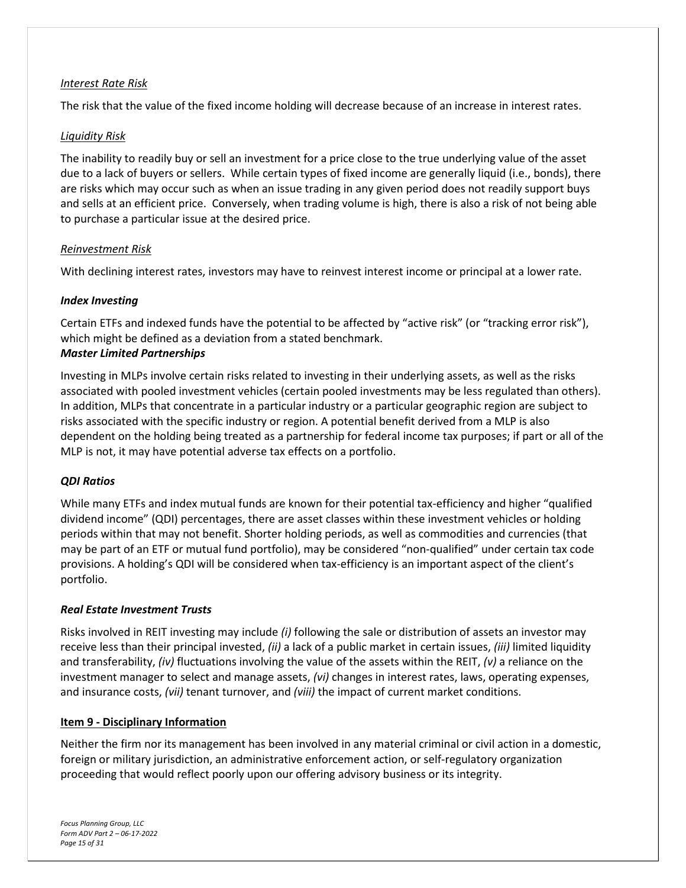#### *Interest Rate Risk*

The risk that the value of the fixed income holding will decrease because of an increase in interest rates.

#### *Liquidity Risk*

The inability to readily buy or sell an investment for a price close to the true underlying value of the asset due to a lack of buyers or sellers. While certain types of fixed income are generally liquid (i.e., bonds), there are risks which may occur such as when an issue trading in any given period does not readily support buys and sells at an efficient price. Conversely, when trading volume is high, there is also a risk of not being able to purchase a particular issue at the desired price.

#### *Reinvestment Risk*

With declining interest rates, investors may have to reinvest interest income or principal at a lower rate.

#### *Index Investing*

Certain ETFs and indexed funds have the potential to be affected by "active risk" (or "tracking error risk"), which might be defined as a deviation from a stated benchmark. *Master Limited Partnerships*

Investing in MLPs involve certain risks related to investing in their underlying assets, as well as the risks associated with pooled investment vehicles (certain pooled investments may be less regulated than others). In addition, MLPs that concentrate in a particular industry or a particular geographic region are subject to risks associated with the specific industry or region. A potential benefit derived from a MLP is also dependent on the holding being treated as a partnership for federal income tax purposes; if part or all of the MLP is not, it may have potential adverse tax effects on a portfolio.

## *QDI Ratios*

While many ETFs and index mutual funds are known for their potential tax-efficiency and higher "qualified dividend income" (QDI) percentages, there are asset classes within these investment vehicles or holding periods within that may not benefit. Shorter holding periods, as well as commodities and currencies (that may be part of an ETF or mutual fund portfolio), may be considered "non-qualified" under certain tax code provisions. A holding's QDI will be considered when tax-efficiency is an important aspect of the client's portfolio.

#### *Real Estate Investment Trusts*

Risks involved in REIT investing may include *(i)* following the sale or distribution of assets an investor may receive less than their principal invested, *(ii)* a lack of a public market in certain issues, *(iii)* limited liquidity and transferability, *(iv)* fluctuations involving the value of the assets within the REIT, *(v)* a reliance on the investment manager to select and manage assets, *(vi)* changes in interest rates, laws, operating expenses, and insurance costs, *(vii)* tenant turnover, and *(viii)* the impact of current market conditions.

#### <span id="page-14-0"></span>**Item 9 - Disciplinary Information**

Neither the firm nor its management has been involved in any material criminal or civil action in a domestic, foreign or military jurisdiction, an administrative enforcement action, or self-regulatory organization proceeding that would reflect poorly upon our offering advisory business or its integrity.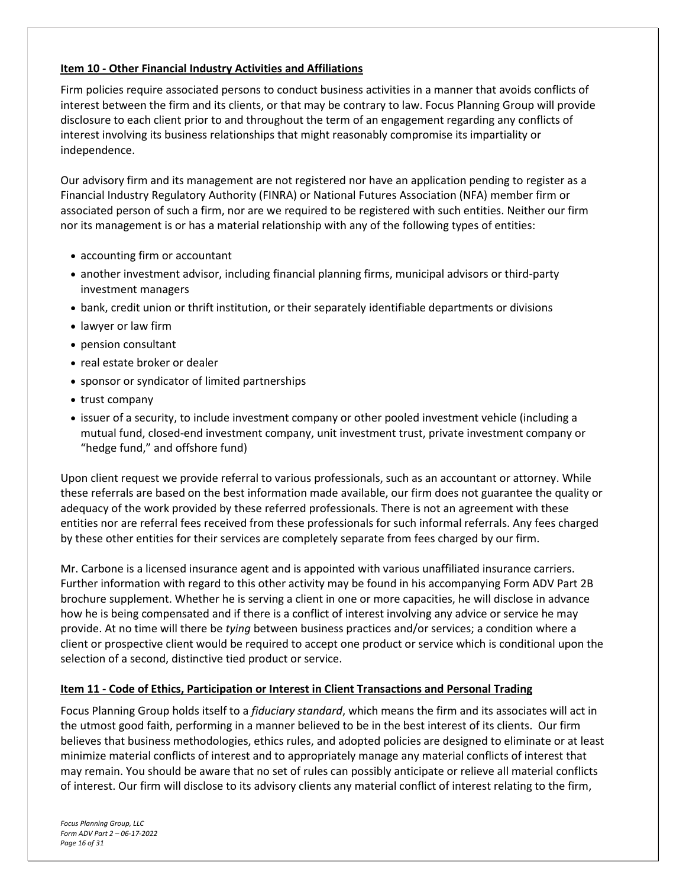## <span id="page-15-0"></span>**Item 10 - Other Financial Industry Activities and Affiliations**

Firm policies require associated persons to conduct business activities in a manner that avoids conflicts of interest between the firm and its clients, or that may be contrary to law. Focus Planning Group will provide disclosure to each client prior to and throughout the term of an engagement regarding any conflicts of interest involving its business relationships that might reasonably compromise its impartiality or independence.

Our advisory firm and its management are not registered nor have an application pending to register as a Financial Industry Regulatory Authority (FINRA) or National Futures Association (NFA) member firm or associated person of such a firm, nor are we required to be registered with such entities. Neither our firm nor its management is or has a material relationship with any of the following types of entities:

- accounting firm or accountant
- another investment advisor, including financial planning firms, municipal advisors or third-party investment managers
- bank, credit union or thrift institution, or their separately identifiable departments or divisions
- lawyer or law firm
- pension consultant
- real estate broker or dealer
- sponsor or syndicator of limited partnerships
- trust company
- issuer of a security, to include investment company or other pooled investment vehicle (including a mutual fund, closed-end investment company, unit investment trust, private investment company or "hedge fund," and offshore fund)

Upon client request we provide referral to various professionals, such as an accountant or attorney. While these referrals are based on the best information made available, our firm does not guarantee the quality or adequacy of the work provided by these referred professionals. There is not an agreement with these entities nor are referral fees received from these professionals for such informal referrals. Any fees charged by these other entities for their services are completely separate from fees charged by our firm.

Mr. Carbone is a licensed insurance agent and is appointed with various unaffiliated insurance carriers. Further information with regard to this other activity may be found in his accompanying Form ADV Part 2B brochure supplement. Whether he is serving a client in one or more capacities, he will disclose in advance how he is being compensated and if there is a conflict of interest involving any advice or service he may provide. At no time will there be *tying* between business practices and/or services; a condition where a client or prospective client would be required to accept one product or service which is conditional upon the selection of a second, distinctive tied product or service.

#### <span id="page-15-1"></span>**Item 11 - Code of Ethics, Participation or Interest in Client Transactions and Personal Trading**

Focus Planning Group holds itself to a *fiduciary standard*, which means the firm and its associates will act in the utmost good faith, performing in a manner believed to be in the best interest of its clients. Our firm believes that business methodologies, ethics rules, and adopted policies are designed to eliminate or at least minimize material conflicts of interest and to appropriately manage any material conflicts of interest that may remain. You should be aware that no set of rules can possibly anticipate or relieve all material conflicts of interest. Our firm will disclose to its advisory clients any material conflict of interest relating to the firm,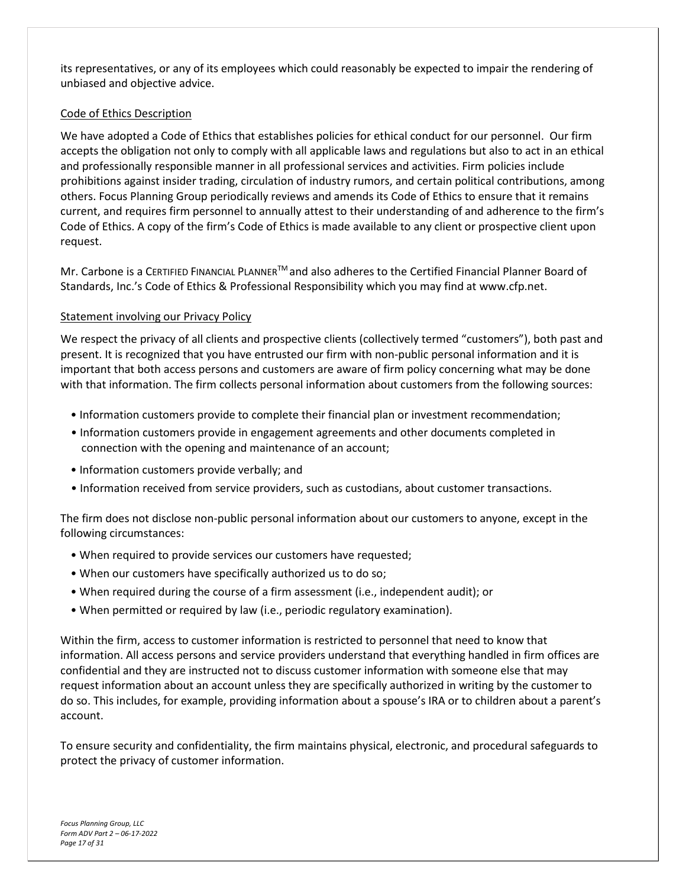its representatives, or any of its employees which could reasonably be expected to impair the rendering of unbiased and objective advice.

#### Code of Ethics Description

We have adopted a Code of Ethics that establishes policies for ethical conduct for our personnel. Our firm accepts the obligation not only to comply with all applicable laws and regulations but also to act in an ethical and professionally responsible manner in all professional services and activities. Firm policies include prohibitions against insider trading, circulation of industry rumors, and certain political contributions, among others. Focus Planning Group periodically reviews and amends its Code of Ethics to ensure that it remains current, and requires firm personnel to annually attest to their understanding of and adherence to the firm's Code of Ethics. A copy of the firm's Code of Ethics is made available to any client or prospective client upon request.

Mr. Carbone is a CERTIFIED FINANCIAL PLANNERTM and also adheres to the Certified Financial Planner Board of Standards, Inc.'s Code of Ethics & Professional Responsibility which you may find at www.cfp.net.

#### Statement involving our Privacy Policy

We respect the privacy of all clients and prospective clients (collectively termed "customers"), both past and present. It is recognized that you have entrusted our firm with non-public personal information and it is important that both access persons and customers are aware of firm policy concerning what may be done with that information. The firm collects personal information about customers from the following sources:

- Information customers provide to complete their financial plan or investment recommendation;
- Information customers provide in engagement agreements and other documents completed in connection with the opening and maintenance of an account;
- Information customers provide verbally; and
- Information received from service providers, such as custodians, about customer transactions.

The firm does not disclose non-public personal information about our customers to anyone, except in the following circumstances:

- When required to provide services our customers have requested;
- When our customers have specifically authorized us to do so;
- When required during the course of a firm assessment (i.e., independent audit); or
- When permitted or required by law (i.e., periodic regulatory examination).

Within the firm, access to customer information is restricted to personnel that need to know that information. All access persons and service providers understand that everything handled in firm offices are confidential and they are instructed not to discuss customer information with someone else that may request information about an account unless they are specifically authorized in writing by the customer to do so. This includes, for example, providing information about a spouse's IRA or to children about a parent's account.

To ensure security and confidentiality, the firm maintains physical, electronic, and procedural safeguards to protect the privacy of customer information.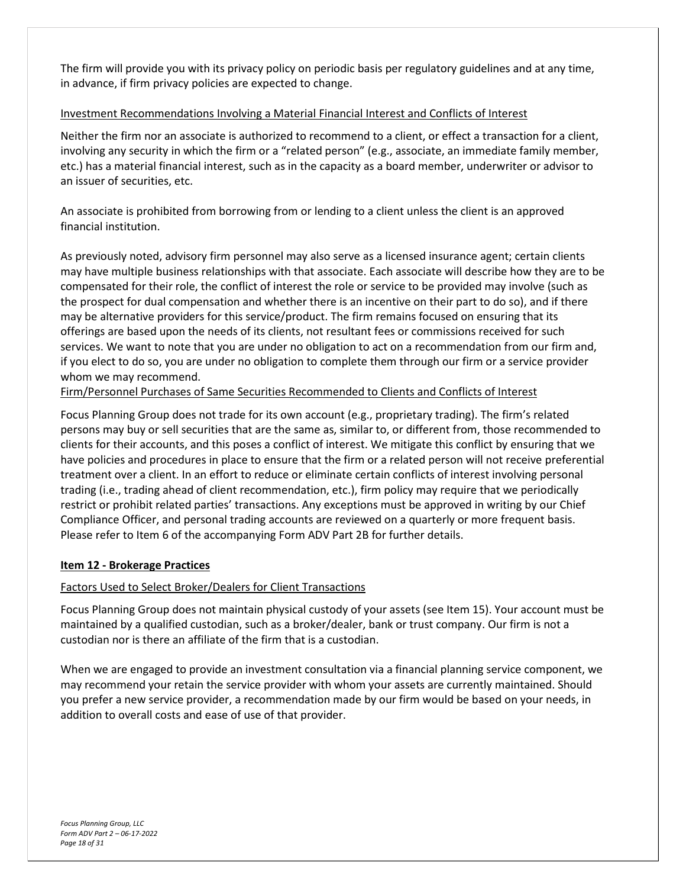The firm will provide you with its privacy policy on periodic basis per regulatory guidelines and at any time, in advance, if firm privacy policies are expected to change.

## Investment Recommendations Involving a Material Financial Interest and Conflicts of Interest

Neither the firm nor an associate is authorized to recommend to a client, or effect a transaction for a client, involving any security in which the firm or a "related person" (e.g., associate, an immediate family member, etc.) has a material financial interest, such as in the capacity as a board member, underwriter or advisor to an issuer of securities, etc.

An associate is prohibited from borrowing from or lending to a client unless the client is an approved financial institution.

As previously noted, advisory firm personnel may also serve as a licensed insurance agent; certain clients may have multiple business relationships with that associate. Each associate will describe how they are to be compensated for their role, the conflict of interest the role or service to be provided may involve (such as the prospect for dual compensation and whether there is an incentive on their part to do so), and if there may be alternative providers for this service/product. The firm remains focused on ensuring that its offerings are based upon the needs of its clients, not resultant fees or commissions received for such services. We want to note that you are under no obligation to act on a recommendation from our firm and, if you elect to do so, you are under no obligation to complete them through our firm or a service provider whom we may recommend.

Firm/Personnel Purchases of Same Securities Recommended to Clients and Conflicts of Interest

Focus Planning Group does not trade for its own account (e.g., proprietary trading). The firm's related persons may buy or sell securities that are the same as, similar to, or different from, those recommended to clients for their accounts, and this poses a conflict of interest. We mitigate this conflict by ensuring that we have policies and procedures in place to ensure that the firm or a related person will not receive preferential treatment over a client. In an effort to reduce or eliminate certain conflicts of interest involving personal trading (i.e., trading ahead of client recommendation, etc.), firm policy may require that we periodically restrict or prohibit related parties' transactions. Any exceptions must be approved in writing by our Chief Compliance Officer, and personal trading accounts are reviewed on a quarterly or more frequent basis. Please refer to Item 6 of the accompanying Form ADV Part 2B for further details.

#### <span id="page-17-0"></span>**Item 12 - Brokerage Practices**

## Factors Used to Select Broker/Dealers for Client Transactions

Focus Planning Group does not maintain physical custody of your assets (see Item 15). Your account must be maintained by a qualified custodian, such as a broker/dealer, bank or trust company. Our firm is not a custodian nor is there an affiliate of the firm that is a custodian.

When we are engaged to provide an investment consultation via a financial planning service component, we may recommend your retain the service provider with whom your assets are currently maintained. Should you prefer a new service provider, a recommendation made by our firm would be based on your needs, in addition to overall costs and ease of use of that provider.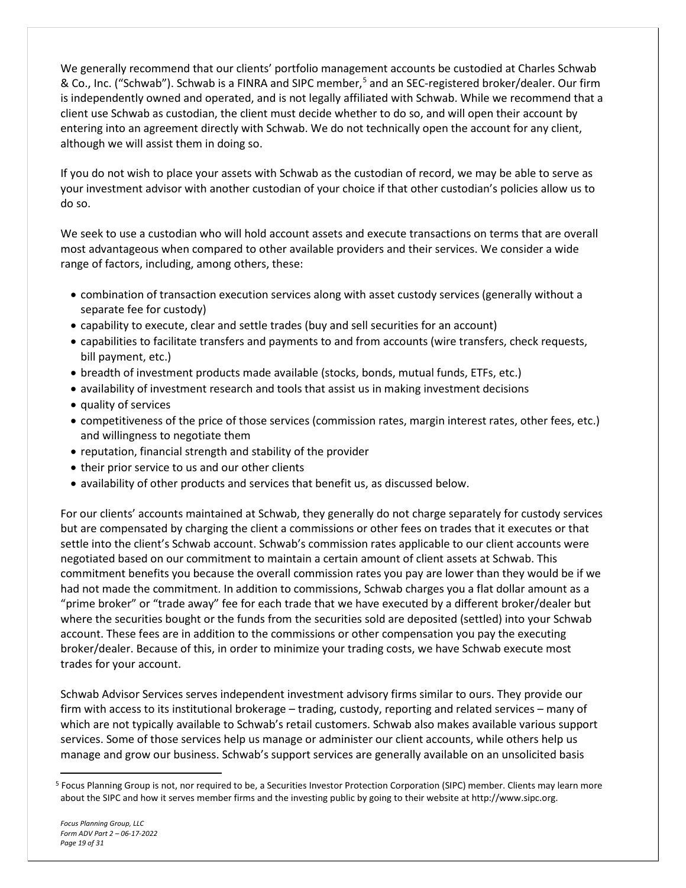We generally recommend that our clients' portfolio management accounts be custodied at Charles Schwab & Co., Inc. ("Schwab"). Schwab is a FINRA and SIPC member,<sup>[5](#page-18-0)</sup> and an SEC-registered broker/dealer. Our firm is independently owned and operated, and is not legally affiliated with Schwab. While we recommend that a client use Schwab as custodian, the client must decide whether to do so, and will open their account by entering into an agreement directly with Schwab. We do not technically open the account for any client, although we will assist them in doing so.

If you do not wish to place your assets with Schwab as the custodian of record, we may be able to serve as your investment advisor with another custodian of your choice if that other custodian's policies allow us to do so.

We seek to use a custodian who will hold account assets and execute transactions on terms that are overall most advantageous when compared to other available providers and their services. We consider a wide range of factors, including, among others, these:

- combination of transaction execution services along with asset custody services (generally without a separate fee for custody)
- capability to execute, clear and settle trades (buy and sell securities for an account)
- capabilities to facilitate transfers and payments to and from accounts (wire transfers, check requests, bill payment, etc.)
- breadth of investment products made available (stocks, bonds, mutual funds, ETFs, etc.)
- availability of investment research and tools that assist us in making investment decisions
- quality of services
- competitiveness of the price of those services (commission rates, margin interest rates, other fees, etc.) and willingness to negotiate them
- reputation, financial strength and stability of the provider
- their prior service to us and our other clients
- availability of other products and services that benefit us, as discussed below.

For our clients' accounts maintained at Schwab, they generally do not charge separately for custody services but are compensated by charging the client a commissions or other fees on trades that it executes or that settle into the client's Schwab account. Schwab's commission rates applicable to our client accounts were negotiated based on our commitment to maintain a certain amount of client assets at Schwab. This commitment benefits you because the overall commission rates you pay are lower than they would be if we had not made the commitment. In addition to commissions, Schwab charges you a flat dollar amount as a "prime broker" or "trade away" fee for each trade that we have executed by a different broker/dealer but where the securities bought or the funds from the securities sold are deposited (settled) into your Schwab account. These fees are in addition to the commissions or other compensation you pay the executing broker/dealer. Because of this, in order to minimize your trading costs, we have Schwab execute most trades for your account.

Schwab Advisor Services serves independent investment advisory firms similar to ours. They provide our firm with access to its institutional brokerage – trading, custody, reporting and related services – many of which are not typically available to Schwab's retail customers. Schwab also makes available various support services. Some of those services help us manage or administer our client accounts, while others help us manage and grow our business. Schwab's support services are generally available on an unsolicited basis

<span id="page-18-0"></span><sup>5</sup> Focus Planning Group is not, nor required to be, a Securities Investor Protection Corporation (SIPC) member. Clients may learn more about the SIPC and how it serves member firms and the investing public by going to their website at http://www.sipc.org.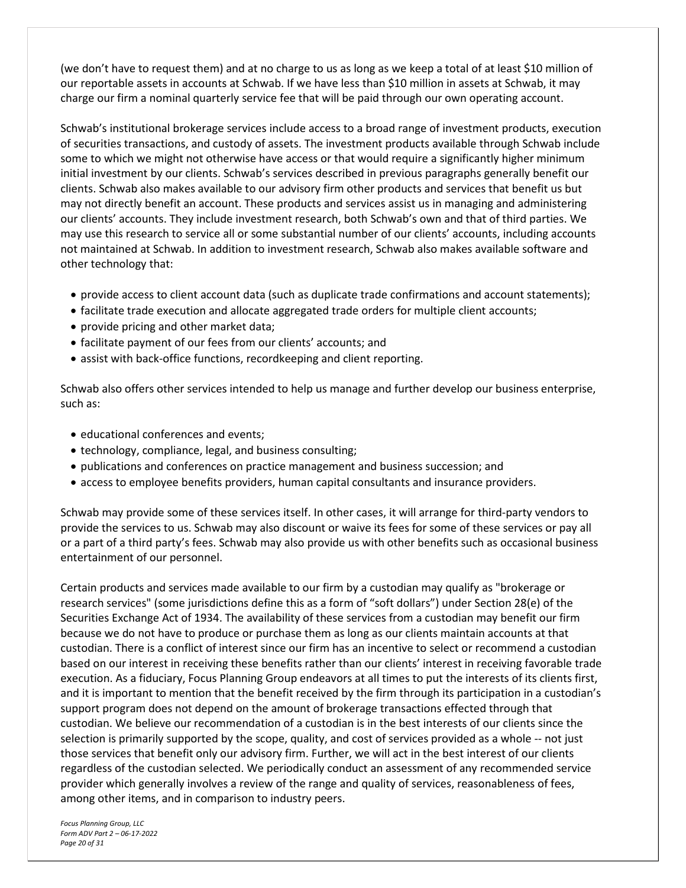(we don't have to request them) and at no charge to us as long as we keep a total of at least \$10 million of our reportable assets in accounts at Schwab. If we have less than \$10 million in assets at Schwab, it may charge our firm a nominal quarterly service fee that will be paid through our own operating account.

Schwab's institutional brokerage services include access to a broad range of investment products, execution of securities transactions, and custody of assets. The investment products available through Schwab include some to which we might not otherwise have access or that would require a significantly higher minimum initial investment by our clients. Schwab's services described in previous paragraphs generally benefit our clients. Schwab also makes available to our advisory firm other products and services that benefit us but may not directly benefit an account. These products and services assist us in managing and administering our clients' accounts. They include investment research, both Schwab's own and that of third parties. We may use this research to service all or some substantial number of our clients' accounts, including accounts not maintained at Schwab. In addition to investment research, Schwab also makes available software and other technology that:

- provide access to client account data (such as duplicate trade confirmations and account statements);
- facilitate trade execution and allocate aggregated trade orders for multiple client accounts;
- provide pricing and other market data;
- facilitate payment of our fees from our clients' accounts; and
- assist with back-office functions, recordkeeping and client reporting.

Schwab also offers other services intended to help us manage and further develop our business enterprise, such as:

- educational conferences and events;
- technology, compliance, legal, and business consulting;
- publications and conferences on practice management and business succession; and
- access to employee benefits providers, human capital consultants and insurance providers.

Schwab may provide some of these services itself. In other cases, it will arrange for third-party vendors to provide the services to us. Schwab may also discount or waive its fees for some of these services or pay all or a part of a third party's fees. Schwab may also provide us with other benefits such as occasional business entertainment of our personnel.

Certain products and services made available to our firm by a custodian may qualify as "brokerage or research services" (some jurisdictions define this as a form of "soft dollars") under Section 28(e) of the Securities Exchange Act of 1934. The availability of these services from a custodian may benefit our firm because we do not have to produce or purchase them as long as our clients maintain accounts at that custodian. There is a conflict of interest since our firm has an incentive to select or recommend a custodian based on our interest in receiving these benefits rather than our clients' interest in receiving favorable trade execution. As a fiduciary, Focus Planning Group endeavors at all times to put the interests of its clients first, and it is important to mention that the benefit received by the firm through its participation in a custodian's support program does not depend on the amount of brokerage transactions effected through that custodian. We believe our recommendation of a custodian is in the best interests of our clients since the selection is primarily supported by the scope, quality, and cost of services provided as a whole -- not just those services that benefit only our advisory firm. Further, we will act in the best interest of our clients regardless of the custodian selected. We periodically conduct an assessment of any recommended service provider which generally involves a review of the range and quality of services, reasonableness of fees, among other items, and in comparison to industry peers.

*Focus Planning Group, LLC Form ADV Part 2 – 06-17-2022 Page 20 of 31*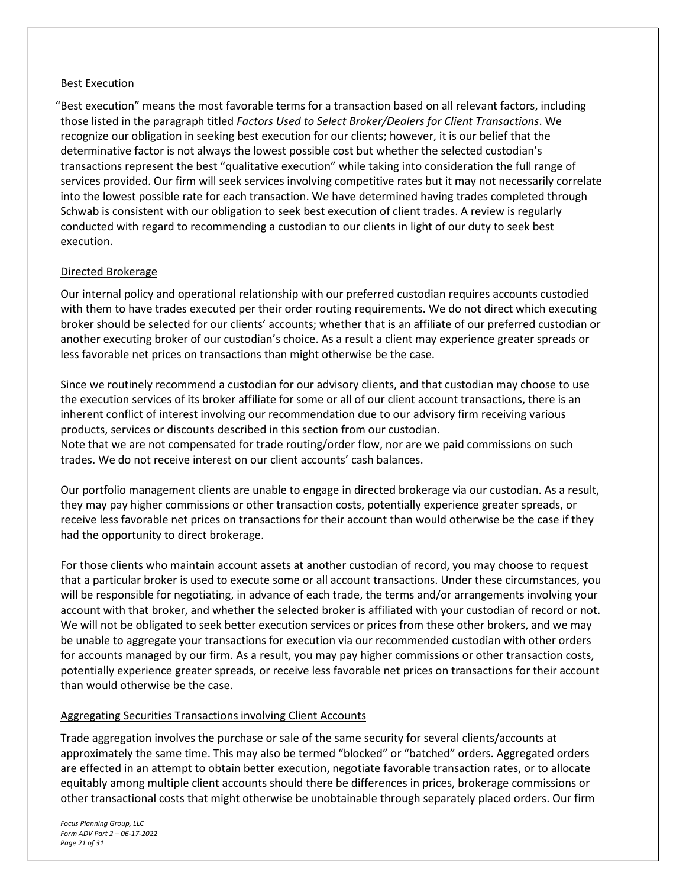#### Best Execution

"Best execution" means the most favorable terms for a transaction based on all relevant factors, including those listed in the paragraph titled *Factors Used to Select Broker/Dealers for Client Transactions*. We recognize our obligation in seeking best execution for our clients; however, it is our belief that the determinative factor is not always the lowest possible cost but whether the selected custodian's transactions represent the best "qualitative execution" while taking into consideration the full range of services provided. Our firm will seek services involving competitive rates but it may not necessarily correlate into the lowest possible rate for each transaction. We have determined having trades completed through Schwab is consistent with our obligation to seek best execution of client trades. A review is regularly conducted with regard to recommending a custodian to our clients in light of our duty to seek best execution.

#### Directed Brokerage

Our internal policy and operational relationship with our preferred custodian requires accounts custodied with them to have trades executed per their order routing requirements. We do not direct which executing broker should be selected for our clients' accounts; whether that is an affiliate of our preferred custodian or another executing broker of our custodian's choice. As a result a client may experience greater spreads or less favorable net prices on transactions than might otherwise be the case.

Since we routinely recommend a custodian for our advisory clients, and that custodian may choose to use the execution services of its broker affiliate for some or all of our client account transactions, there is an inherent conflict of interest involving our recommendation due to our advisory firm receiving various products, services or discounts described in this section from our custodian. Note that we are not compensated for trade routing/order flow, nor are we paid commissions on such trades. We do not receive interest on our client accounts' cash balances.

Our portfolio management clients are unable to engage in directed brokerage via our custodian. As a result, they may pay higher commissions or other transaction costs, potentially experience greater spreads, or receive less favorable net prices on transactions for their account than would otherwise be the case if they had the opportunity to direct brokerage.

For those clients who maintain account assets at another custodian of record, you may choose to request that a particular broker is used to execute some or all account transactions. Under these circumstances, you will be responsible for negotiating, in advance of each trade, the terms and/or arrangements involving your account with that broker, and whether the selected broker is affiliated with your custodian of record or not. We will not be obligated to seek better execution services or prices from these other brokers, and we may be unable to aggregate your transactions for execution via our recommended custodian with other orders for accounts managed by our firm. As a result, you may pay higher commissions or other transaction costs, potentially experience greater spreads, or receive less favorable net prices on transactions for their account than would otherwise be the case.

#### Aggregating Securities Transactions involving Client Accounts

Trade aggregation involves the purchase or sale of the same security for several clients/accounts at approximately the same time. This may also be termed "blocked" or "batched" orders. Aggregated orders are effected in an attempt to obtain better execution, negotiate favorable transaction rates, or to allocate equitably among multiple client accounts should there be differences in prices, brokerage commissions or other transactional costs that might otherwise be unobtainable through separately placed orders. Our firm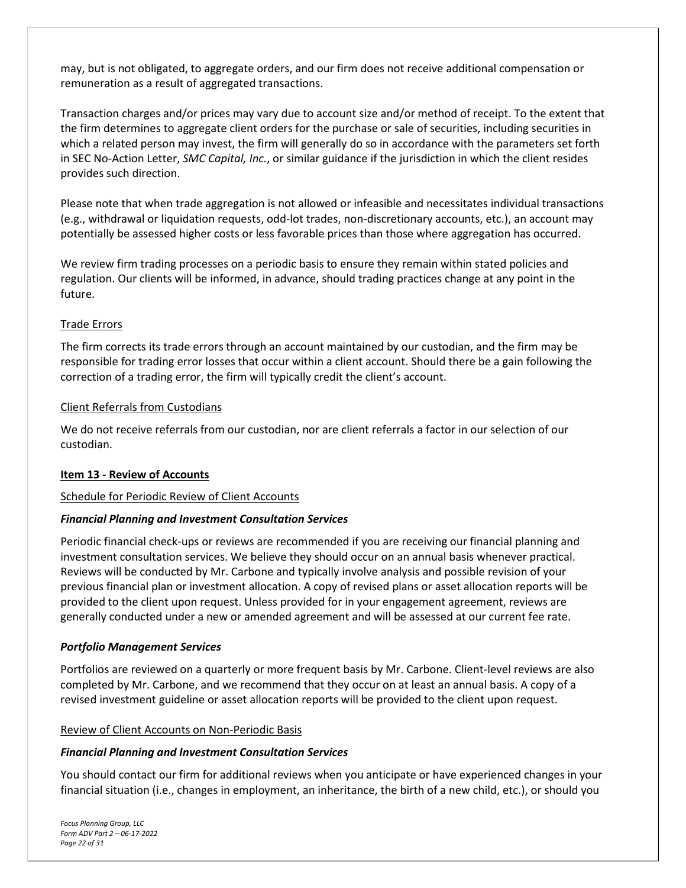may, but is not obligated, to aggregate orders, and our firm does not receive additional compensation or remuneration as a result of aggregated transactions.

Transaction charges and/or prices may vary due to account size and/or method of receipt. To the extent that the firm determines to aggregate client orders for the purchase or sale of securities, including securities in which a related person may invest, the firm will generally do so in accordance with the parameters set forth in SEC No-Action Letter, *SMC Capital, Inc.*, or similar guidance if the jurisdiction in which the client resides provides such direction.

Please note that when trade aggregation is not allowed or infeasible and necessitates individual transactions (e.g., withdrawal or liquidation requests, odd-lot trades, non-discretionary accounts, etc.), an account may potentially be assessed higher costs or less favorable prices than those where aggregation has occurred.

We review firm trading processes on a periodic basis to ensure they remain within stated policies and regulation. Our clients will be informed, in advance, should trading practices change at any point in the future.

## Trade Errors

The firm corrects its trade errors through an account maintained by our custodian, and the firm may be responsible for trading error losses that occur within a client account. Should there be a gain following the correction of a trading error, the firm will typically credit the client's account.

#### Client Referrals from Custodians

We do not receive referrals from our custodian, nor are client referrals a factor in our selection of our custodian.

## <span id="page-21-0"></span>**Item 13 - Review of Accounts**

## Schedule for Periodic Review of Client Accounts

#### *Financial Planning and Investment Consultation Services*

Periodic financial check-ups or reviews are recommended if you are receiving our financial planning and investment consultation services. We believe they should occur on an annual basis whenever practical. Reviews will be conducted by Mr. Carbone and typically involve analysis and possible revision of your previous financial plan or investment allocation. A copy of revised plans or asset allocation reports will be provided to the client upon request. Unless provided for in your engagement agreement, reviews are generally conducted under a new or amended agreement and will be assessed at our current fee rate.

#### *Portfolio Management Services*

Portfolios are reviewed on a quarterly or more frequent basis by Mr. Carbone. Client-level reviews are also completed by Mr. Carbone, and we recommend that they occur on at least an annual basis. A copy of a revised investment guideline or asset allocation reports will be provided to the client upon request.

#### Review of Client Accounts on Non-Periodic Basis

## *Financial Planning and Investment Consultation Services*

You should contact our firm for additional reviews when you anticipate or have experienced changes in your financial situation (i.e., changes in employment, an inheritance, the birth of a new child, etc.), or should you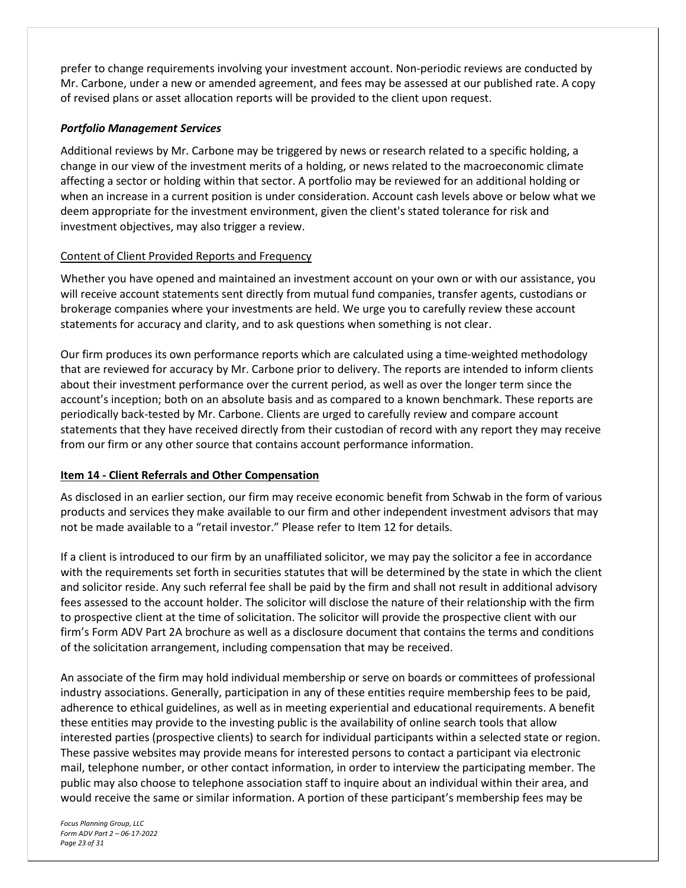prefer to change requirements involving your investment account. Non-periodic reviews are conducted by Mr. Carbone, under a new or amended agreement, and fees may be assessed at our published rate. A copy of revised plans or asset allocation reports will be provided to the client upon request.

### *Portfolio Management Services*

Additional reviews by Mr. Carbone may be triggered by news or research related to a specific holding, a change in our view of the investment merits of a holding, or news related to the macroeconomic climate affecting a sector or holding within that sector. A portfolio may be reviewed for an additional holding or when an increase in a current position is under consideration. Account cash levels above or below what we deem appropriate for the investment environment, given the client's stated tolerance for risk and investment objectives, may also trigger a review.

## Content of Client Provided Reports and Frequency

Whether you have opened and maintained an investment account on your own or with our assistance, you will receive account statements sent directly from mutual fund companies, transfer agents, custodians or brokerage companies where your investments are held. We urge you to carefully review these account statements for accuracy and clarity, and to ask questions when something is not clear.

Our firm produces its own performance reports which are calculated using a time-weighted methodology that are reviewed for accuracy by Mr. Carbone prior to delivery. The reports are intended to inform clients about their investment performance over the current period, as well as over the longer term since the account's inception; both on an absolute basis and as compared to a known benchmark. These reports are periodically back-tested by Mr. Carbone. Clients are urged to carefully review and compare account statements that they have received directly from their custodian of record with any report they may receive from our firm or any other source that contains account performance information.

#### <span id="page-22-0"></span>**Item 14 - Client Referrals and Other Compensation**

As disclosed in an earlier section, our firm may receive economic benefit from Schwab in the form of various products and services they make available to our firm and other independent investment advisors that may not be made available to a "retail investor." Please refer to Item 12 for details.

If a client is introduced to our firm by an unaffiliated solicitor, we may pay the solicitor a fee in accordance with the requirements set forth in securities statutes that will be determined by the state in which the client and solicitor reside. Any such referral fee shall be paid by the firm and shall not result in additional advisory fees assessed to the account holder. The solicitor will disclose the nature of their relationship with the firm to prospective client at the time of solicitation. The solicitor will provide the prospective client with our firm's Form ADV Part 2A brochure as well as a disclosure document that contains the terms and conditions of the solicitation arrangement, including compensation that may be received.

An associate of the firm may hold individual membership or serve on boards or committees of professional industry associations. Generally, participation in any of these entities require membership fees to be paid, adherence to ethical guidelines, as well as in meeting experiential and educational requirements. A benefit these entities may provide to the investing public is the availability of online search tools that allow interested parties (prospective clients) to search for individual participants within a selected state or region. These passive websites may provide means for interested persons to contact a participant via electronic mail, telephone number, or other contact information, in order to interview the participating member. The public may also choose to telephone association staff to inquire about an individual within their area, and would receive the same or similar information. A portion of these participant's membership fees may be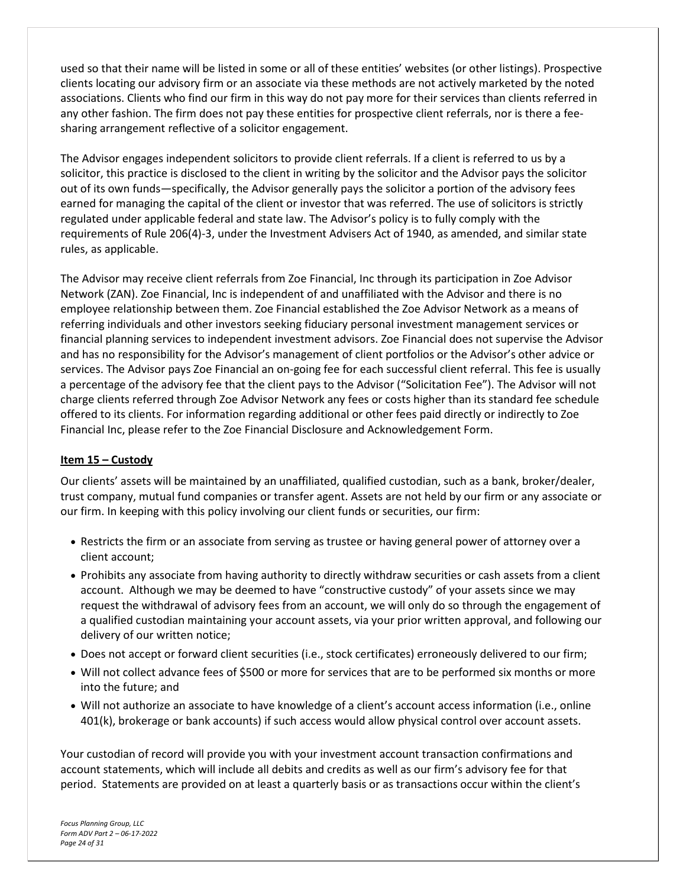used so that their name will be listed in some or all of these entities' websites (or other listings). Prospective clients locating our advisory firm or an associate via these methods are not actively marketed by the noted associations. Clients who find our firm in this way do not pay more for their services than clients referred in any other fashion. The firm does not pay these entities for prospective client referrals, nor is there a feesharing arrangement reflective of a solicitor engagement.

The Advisor engages independent solicitors to provide client referrals. If a client is referred to us by a solicitor, this practice is disclosed to the client in writing by the solicitor and the Advisor pays the solicitor out of its own funds—specifically, the Advisor generally pays the solicitor a portion of the advisory fees earned for managing the capital of the client or investor that was referred. The use of solicitors is strictly regulated under applicable federal and state law. The Advisor's policy is to fully comply with the requirements of Rule 206(4)-3, under the Investment Advisers Act of 1940, as amended, and similar state rules, as applicable.

The Advisor may receive client referrals from Zoe Financial, Inc through its participation in Zoe Advisor Network (ZAN). Zoe Financial, Inc is independent of and unaffiliated with the Advisor and there is no employee relationship between them. Zoe Financial established the Zoe Advisor Network as a means of referring individuals and other investors seeking fiduciary personal investment management services or financial planning services to independent investment advisors. Zoe Financial does not supervise the Advisor and has no responsibility for the Advisor's management of client portfolios or the Advisor's other advice or services. The Advisor pays Zoe Financial an on-going fee for each successful client referral. This fee is usually a percentage of the advisory fee that the client pays to the Advisor ("Solicitation Fee"). The Advisor will not charge clients referred through Zoe Advisor Network any fees or costs higher than its standard fee schedule offered to its clients. For information regarding additional or other fees paid directly or indirectly to Zoe Financial Inc, please refer to the Zoe Financial Disclosure and Acknowledgement Form.

#### <span id="page-23-0"></span>**Item 15 – Custody**

Our clients' assets will be maintained by an unaffiliated, qualified custodian, such as a bank, broker/dealer, trust company, mutual fund companies or transfer agent. Assets are not held by our firm or any associate or our firm. In keeping with this policy involving our client funds or securities, our firm:

- Restricts the firm or an associate from serving as trustee or having general power of attorney over a client account;
- Prohibits any associate from having authority to directly withdraw securities or cash assets from a client account. Although we may be deemed to have "constructive custody" of your assets since we may request the withdrawal of advisory fees from an account, we will only do so through the engagement of a qualified custodian maintaining your account assets, via your prior written approval, and following our delivery of our written notice;
- Does not accept or forward client securities (i.e., stock certificates) erroneously delivered to our firm;
- Will not collect advance fees of \$500 or more for services that are to be performed six months or more into the future; and
- Will not authorize an associate to have knowledge of a client's account access information (i.e., online 401(k), brokerage or bank accounts) if such access would allow physical control over account assets.

Your custodian of record will provide you with your investment account transaction confirmations and account statements, which will include all debits and credits as well as our firm's advisory fee for that period. Statements are provided on at least a quarterly basis or as transactions occur within the client's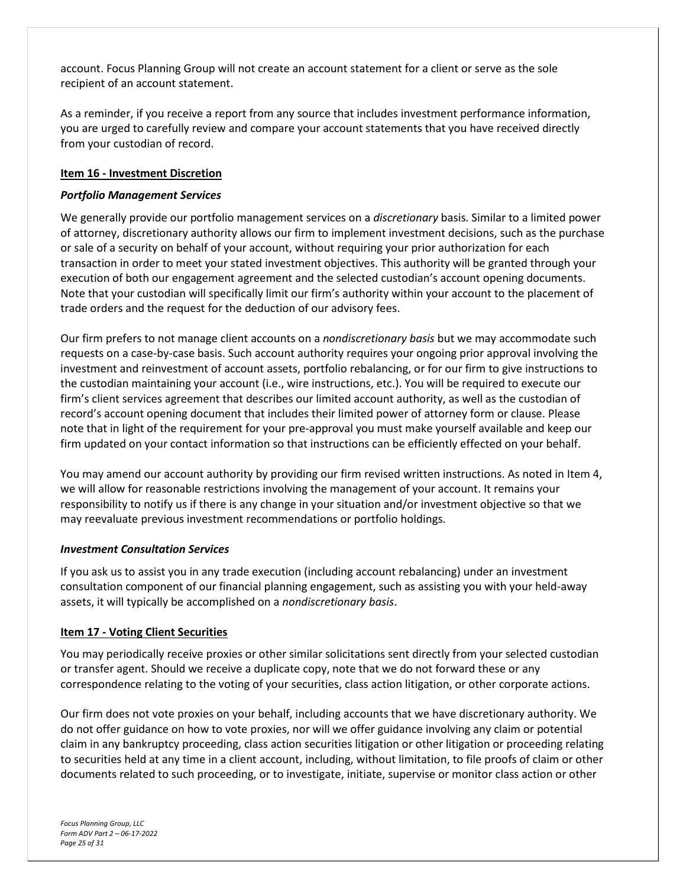account. Focus Planning Group will not create an account statement for a client or serve as the sole recipient of an account statement.

As a reminder, if you receive a report from any source that includes investment performance information, you are urged to carefully review and compare your account statements that you have received directly from your custodian of record.

#### <span id="page-24-0"></span>**Item 16 - Investment Discretion**

### *Portfolio Management Services*

We generally provide our portfolio management services on a *discretionary* basis. Similar to a limited power of attorney, discretionary authority allows our firm to implement investment decisions, such as the purchase or sale of a security on behalf of your account, without requiring your prior authorization for each transaction in order to meet your stated investment objectives. This authority will be granted through your execution of both our engagement agreement and the selected custodian's account opening documents. Note that your custodian will specifically limit our firm's authority within your account to the placement of trade orders and the request for the deduction of our advisory fees.

Our firm prefers to not manage client accounts on a *nondiscretionary basis* but we may accommodate such requests on a case-by-case basis. Such account authority requires your ongoing prior approval involving the investment and reinvestment of account assets, portfolio rebalancing, or for our firm to give instructions to the custodian maintaining your account (i.e., wire instructions, etc.). You will be required to execute our firm's client services agreement that describes our limited account authority, as well as the custodian of record's account opening document that includes their limited power of attorney form or clause. Please note that in light of the requirement for your pre-approval you must make yourself available and keep our firm updated on your contact information so that instructions can be efficiently effected on your behalf.

You may amend our account authority by providing our firm revised written instructions. As noted in Item 4, we will allow for reasonable restrictions involving the management of your account. It remains your responsibility to notify us if there is any change in your situation and/or investment objective so that we may reevaluate previous investment recommendations or portfolio holdings.

#### *Investment Consultation Services*

If you ask us to assist you in any trade execution (including account rebalancing) under an investment consultation component of our financial planning engagement, such as assisting you with your held-away assets, it will typically be accomplished on a *nondiscretionary basis*.

#### <span id="page-24-1"></span>**Item 17 - Voting Client Securities**

You may periodically receive proxies or other similar solicitations sent directly from your selected custodian or transfer agent. Should we receive a duplicate copy, note that we do not forward these or any correspondence relating to the voting of your securities, class action litigation, or other corporate actions.

Our firm does not vote proxies on your behalf, including accounts that we have discretionary authority. We do not offer guidance on how to vote proxies, nor will we offer guidance involving any claim or potential claim in any bankruptcy proceeding, class action securities litigation or other litigation or proceeding relating to securities held at any time in a client account, including, without limitation, to file proofs of claim or other documents related to such proceeding, or to investigate, initiate, supervise or monitor class action or other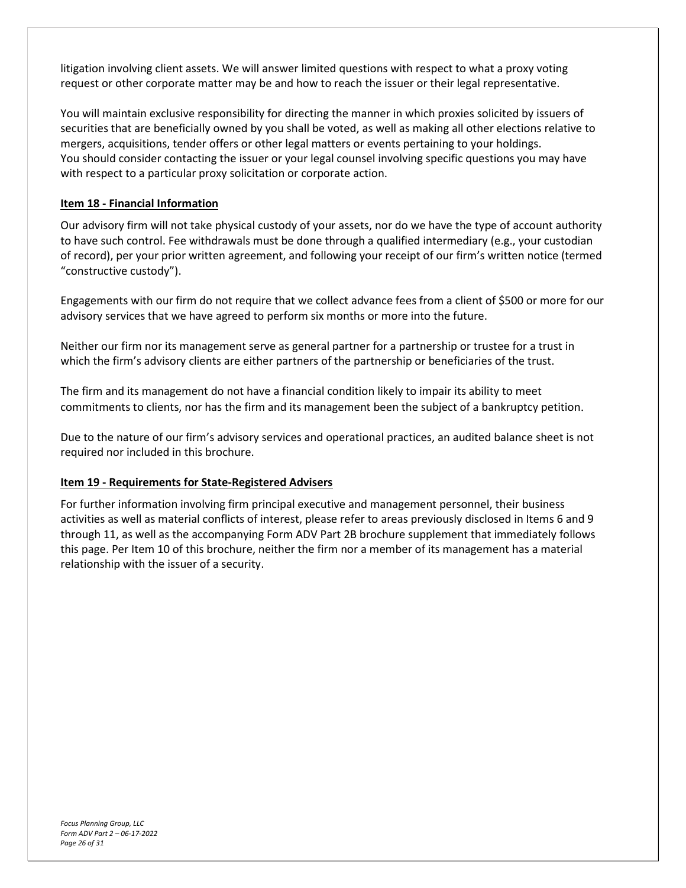litigation involving client assets. We will answer limited questions with respect to what a proxy voting request or other corporate matter may be and how to reach the issuer or their legal representative.

You will maintain exclusive responsibility for directing the manner in which proxies solicited by issuers of securities that are beneficially owned by you shall be voted, as well as making all other elections relative to mergers, acquisitions, tender offers or other legal matters or events pertaining to your holdings. You should consider contacting the issuer or your legal counsel involving specific questions you may have with respect to a particular proxy solicitation or corporate action.

## <span id="page-25-0"></span>**Item 18 - Financial Information**

Our advisory firm will not take physical custody of your assets, nor do we have the type of account authority to have such control. Fee withdrawals must be done through a qualified intermediary (e.g., your custodian of record), per your prior written agreement, and following your receipt of our firm's written notice (termed "constructive custody").

Engagements with our firm do not require that we collect advance fees from a client of \$500 or more for our advisory services that we have agreed to perform six months or more into the future.

Neither our firm nor its management serve as general partner for a partnership or trustee for a trust in which the firm's advisory clients are either partners of the partnership or beneficiaries of the trust.

The firm and its management do not have a financial condition likely to impair its ability to meet commitments to clients, nor has the firm and its management been the subject of a bankruptcy petition.

Due to the nature of our firm's advisory services and operational practices, an audited balance sheet is not required nor included in this brochure.

#### <span id="page-25-1"></span>**Item 19 - Requirements for State-Registered Advisers**

For further information involving firm principal executive and management personnel, their business activities as well as material conflicts of interest, please refer to areas previously disclosed in Items 6 and 9 through 11, as well as the accompanying Form ADV Part 2B brochure supplement that immediately follows this page. Per Item 10 of this brochure, neither the firm nor a member of its management has a material relationship with the issuer of a security.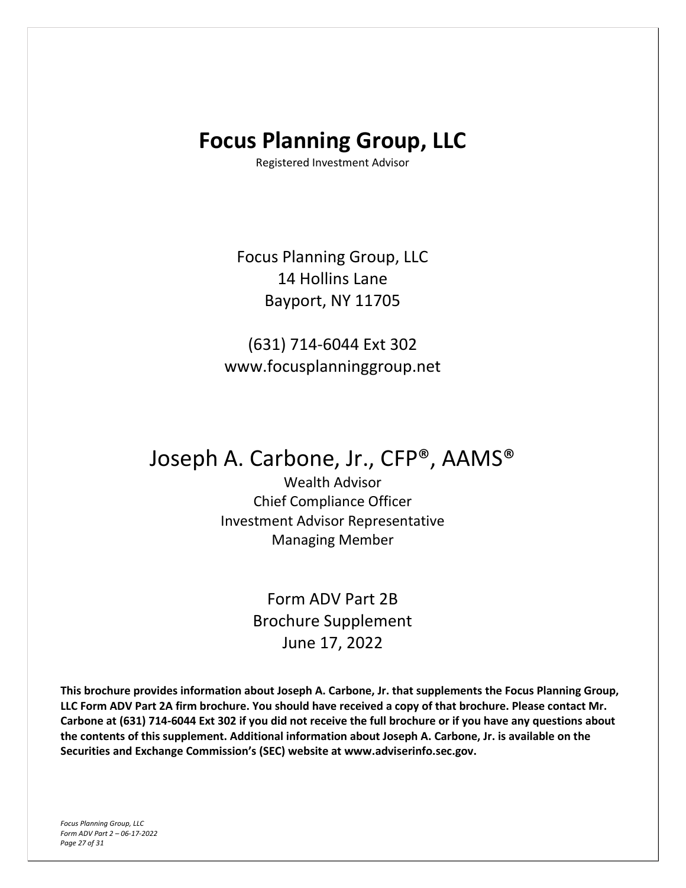## **Focus Planning Group, LLC**

Registered Investment Advisor

Focus Planning Group, LLC 14 Hollins Lane Bayport, NY 11705

(631) 714-6044 Ext 302 www.focusplanninggroup.net

## Joseph A. Carbone, Jr., CFP®, AAMS®

Wealth Advisor Chief Compliance Officer Investment Advisor Representative Managing Member

> Form ADV Part 2B Brochure Supplement June 17, 2022

**This brochure provides information about Joseph A. Carbone, Jr. that supplements the Focus Planning Group, LLC Form ADV Part 2A firm brochure. You should have received a copy of that brochure. Please contact Mr. Carbone at (631) 714-6044 Ext 302 if you did not receive the full brochure or if you have any questions about the contents of this supplement. Additional information about Joseph A. Carbone, Jr. is available on the Securities and Exchange Commission's (SEC) website at www.adviserinfo.sec.gov.**

*Focus Planning Group, LLC Form ADV Part 2 – 06-17-2022 Page 27 of 31*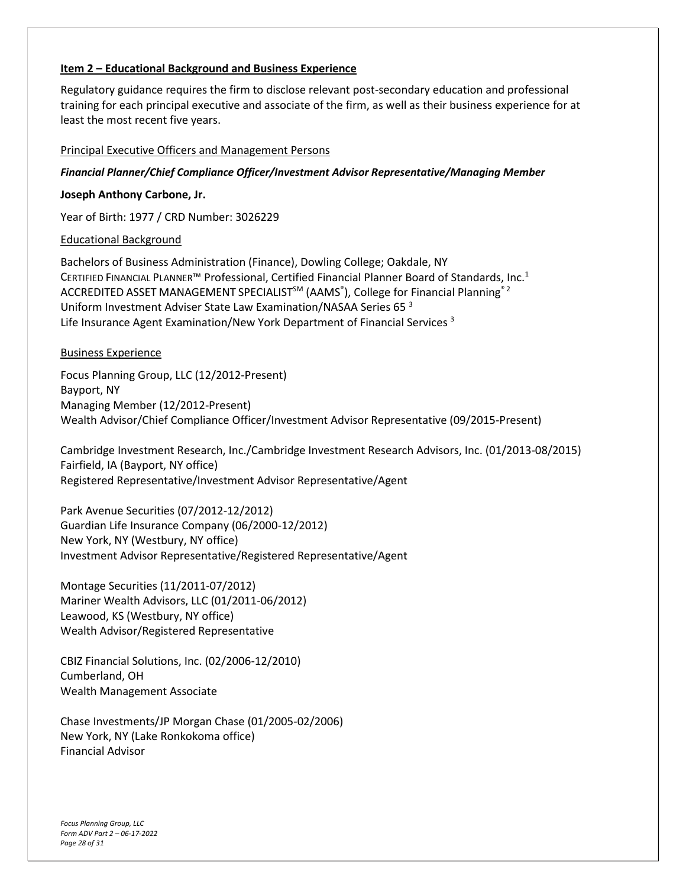#### **Item 2 – Educational Background and Business Experience**

Regulatory guidance requires the firm to disclose relevant post-secondary education and professional training for each principal executive and associate of the firm, as well as their business experience for at least the most recent five years.

#### Principal Executive Officers and Management Persons

#### *Financial Planner/Chief Compliance Officer/Investment Advisor Representative/Managing Member*

#### **Joseph Anthony Carbone, Jr.**

Year of Birth: 1977 / CRD Number: 3026229

#### Educational Background

Bachelors of Business Administration (Finance), Dowling College; Oakdale, NY CERTIFIED FINANCIAL PLANNER™ Professional, Certified Financial Planner Board of Standards, Inc.<sup>1</sup> ACCREDITED ASSET MANAGEMENT SPECIALIST<sup>SM</sup> (AAMS<sup>®</sup>), College for Financial Planning<sup>® 2</sup> Uniform Investment Adviser State Law Examination/NASAA Series 65 <sup>3</sup> Life Insurance Agent Examination/New York Department of Financial Services<sup>3</sup>

#### Business Experience

Focus Planning Group, LLC (12/2012-Present) Bayport, NY Managing Member (12/2012-Present) Wealth Advisor/Chief Compliance Officer/Investment Advisor Representative (09/2015-Present)

Cambridge Investment Research, Inc./Cambridge Investment Research Advisors, Inc. (01/2013-08/2015) Fairfield, IA (Bayport, NY office) Registered Representative/Investment Advisor Representative/Agent

Park Avenue Securities (07/2012-12/2012) Guardian Life Insurance Company (06/2000-12/2012) New York, NY (Westbury, NY office) Investment Advisor Representative/Registered Representative/Agent

Montage Securities (11/2011-07/2012) Mariner Wealth Advisors, LLC (01/2011-06/2012) Leawood, KS (Westbury, NY office) Wealth Advisor/Registered Representative

CBIZ Financial Solutions, Inc. (02/2006-12/2010) Cumberland, OH Wealth Management Associate

Chase Investments/JP Morgan Chase (01/2005-02/2006) New York, NY (Lake Ronkokoma office) Financial Advisor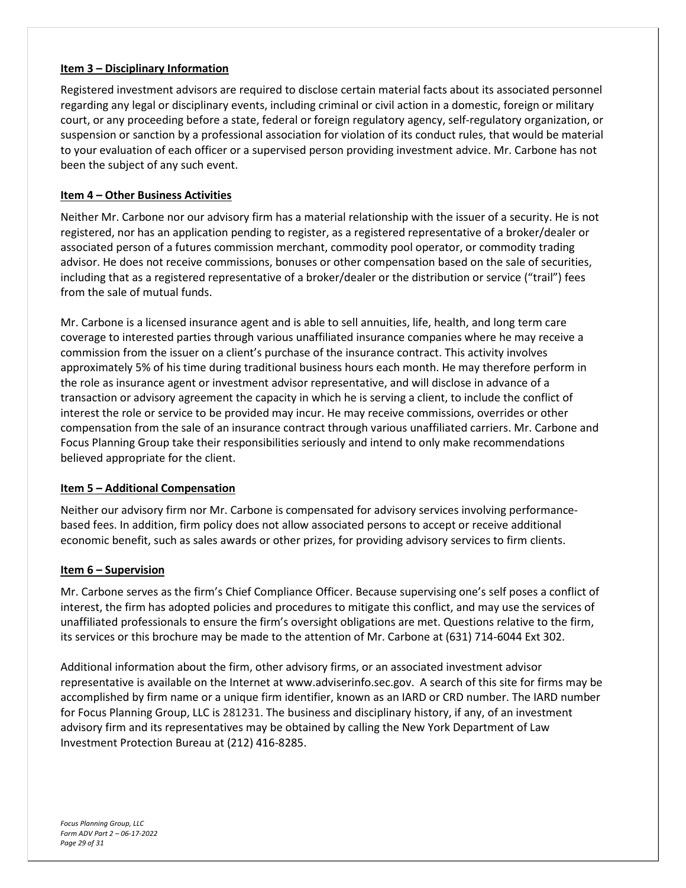#### **Item 3 – Disciplinary Information**

Registered investment advisors are required to disclose certain material facts about its associated personnel regarding any legal or disciplinary events, including criminal or civil action in a domestic, foreign or military court, or any proceeding before a state, federal or foreign regulatory agency, self-regulatory organization, or suspension or sanction by a professional association for violation of its conduct rules, that would be material to your evaluation of each officer or a supervised person providing investment advice. Mr. Carbone has not been the subject of any such event.

## **Item 4 – Other Business Activities**

Neither Mr. Carbone nor our advisory firm has a material relationship with the issuer of a security. He is not registered, nor has an application pending to register, as a registered representative of a broker/dealer or associated person of a futures commission merchant, commodity pool operator, or commodity trading advisor. He does not receive commissions, bonuses or other compensation based on the sale of securities, including that as a registered representative of a broker/dealer or the distribution or service ("trail") fees from the sale of mutual funds.

Mr. Carbone is a licensed insurance agent and is able to sell annuities, life, health, and long term care coverage to interested parties through various unaffiliated insurance companies where he may receive a commission from the issuer on a client's purchase of the insurance contract. This activity involves approximately 5% of his time during traditional business hours each month. He may therefore perform in the role as insurance agent or investment advisor representative, and will disclose in advance of a transaction or advisory agreement the capacity in which he is serving a client, to include the conflict of interest the role or service to be provided may incur. He may receive commissions, overrides or other compensation from the sale of an insurance contract through various unaffiliated carriers. Mr. Carbone and Focus Planning Group take their responsibilities seriously and intend to only make recommendations believed appropriate for the client.

#### **Item 5 – Additional Compensation**

Neither our advisory firm nor Mr. Carbone is compensated for advisory services involving performancebased fees. In addition, firm policy does not allow associated persons to accept or receive additional economic benefit, such as sales awards or other prizes, for providing advisory services to firm clients.

#### **Item 6 – Supervision**

Mr. Carbone serves as the firm's Chief Compliance Officer. Because supervising one's self poses a conflict of interest, the firm has adopted policies and procedures to mitigate this conflict, and may use the services of unaffiliated professionals to ensure the firm's oversight obligations are met. Questions relative to the firm, its services or this brochure may be made to the attention of Mr. Carbone at (631) 714-6044 Ext 302.

Additional information about the firm, other advisory firms, or an associated investment advisor representative is available on the Internet at www.adviserinfo.sec.gov. A search of this site for firms may be accomplished by firm name or a unique firm identifier, known as an IARD or CRD number. The IARD number for Focus Planning Group, LLC is 281231. The business and disciplinary history, if any, of an investment advisory firm and its representatives may be obtained by calling the New York Department of Law Investment Protection Bureau at (212) 416-8285.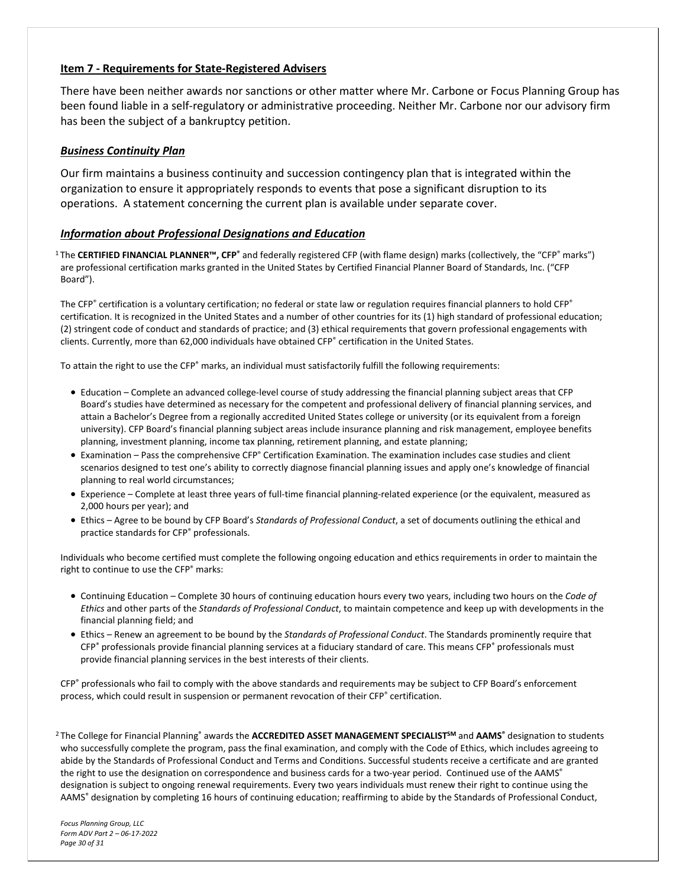#### **Item 7 - Requirements for State-Registered Advisers**

There have been neither awards nor sanctions or other matter where Mr. Carbone or Focus Planning Group has been found liable in a self-regulatory or administrative proceeding. Neither Mr. Carbone nor our advisory firm has been the subject of a bankruptcy petition.

#### *Business Continuity Plan*

Our firm maintains a business continuity and succession contingency plan that is integrated within the organization to ensure it appropriately responds to events that pose a significant disruption to its operations. A statement concerning the current plan is available under separate cover.

#### *Information about Professional Designations and Education*

<sup>1</sup>The **CERTIFIED FINANCIAL PLANNER™, CFP®** and federally registered CFP (with flame design) marks (collectively, the "CFP® marks") are professional certification marks granted in the United States by Certified Financial Planner Board of Standards, Inc. ("CFP Board").

The CFP® certification is a voluntary certification; no federal or state law or regulation requires financial planners to hold CFP® certification. It is recognized in the United States and a number of other countries for its (1) high standard of professional education; (2) stringent code of conduct and standards of practice; and (3) ethical requirements that govern professional engagements with clients. Currently, more than 62,000 individuals have obtained CFP® certification in the United States.

To attain the right to use the CFP® marks, an individual must satisfactorily fulfill the following requirements:

- Education Complete an advanced college-level course of study addressing the financial planning subject areas that CFP Board's studies have determined as necessary for the competent and professional delivery of financial planning services, and attain a Bachelor's Degree from a regionally accredited United States college or university (or its equivalent from a foreign university). CFP Board's financial planning subject areas include insurance planning and risk management, employee benefits planning, investment planning, income tax planning, retirement planning, and estate planning;
- Examination Pass the comprehensive CFP® Certification Examination. The examination includes case studies and client scenarios designed to test one's ability to correctly diagnose financial planning issues and apply one's knowledge of financial planning to real world circumstances;
- Experience Complete at least three years of full-time financial planning-related experience (or the equivalent, measured as 2,000 hours per year); and
- Ethics Agree to be bound by CFP Board's *Standards of Professional Conduct*, a set of documents outlining the ethical and practice standards for CFP® professionals.

Individuals who become certified must complete the following ongoing education and ethics requirements in order to maintain the right to continue to use the CFP® marks:

- Continuing Education Complete 30 hours of continuing education hours every two years, including two hours on the *Code of Ethics* and other parts of the *Standards of Professional Conduct*, to maintain competence and keep up with developments in the financial planning field; and
- Ethics Renew an agreement to be bound by the *Standards of Professional Conduct*. The Standards prominently require that CFP® professionals provide financial planning services at a fiduciary standard of care. This means CFP® professionals must provide financial planning services in the best interests of their clients.

CFP® professionals who fail to comply with the above standards and requirements may be subject to CFP Board's enforcement process, which could result in suspension or permanent revocation of their CFP® certification.

<sup>2</sup>The College for Financial Planning® awards the **ACCREDITED ASSET MANAGEMENT SPECIALISTSM** and **AAMS®** designation to students who successfully complete the program, pass the final examination, and comply with the Code of Ethics, which includes agreeing to abide by the Standards of Professional Conduct and Terms and Conditions. Successful students receive a certificate and are granted the right to use the designation on correspondence and business cards for a two-year period. Continued use of the AAMS<sup>®</sup> designation is subject to ongoing renewal requirements. Every two years individuals must renew their right to continue using the AAMS® designation by completing 16 hours of continuing education; reaffirming to abide by the Standards of Professional Conduct,

*Focus Planning Group, LLC Form ADV Part 2 – 06-17-2022 Page 30 of 31*